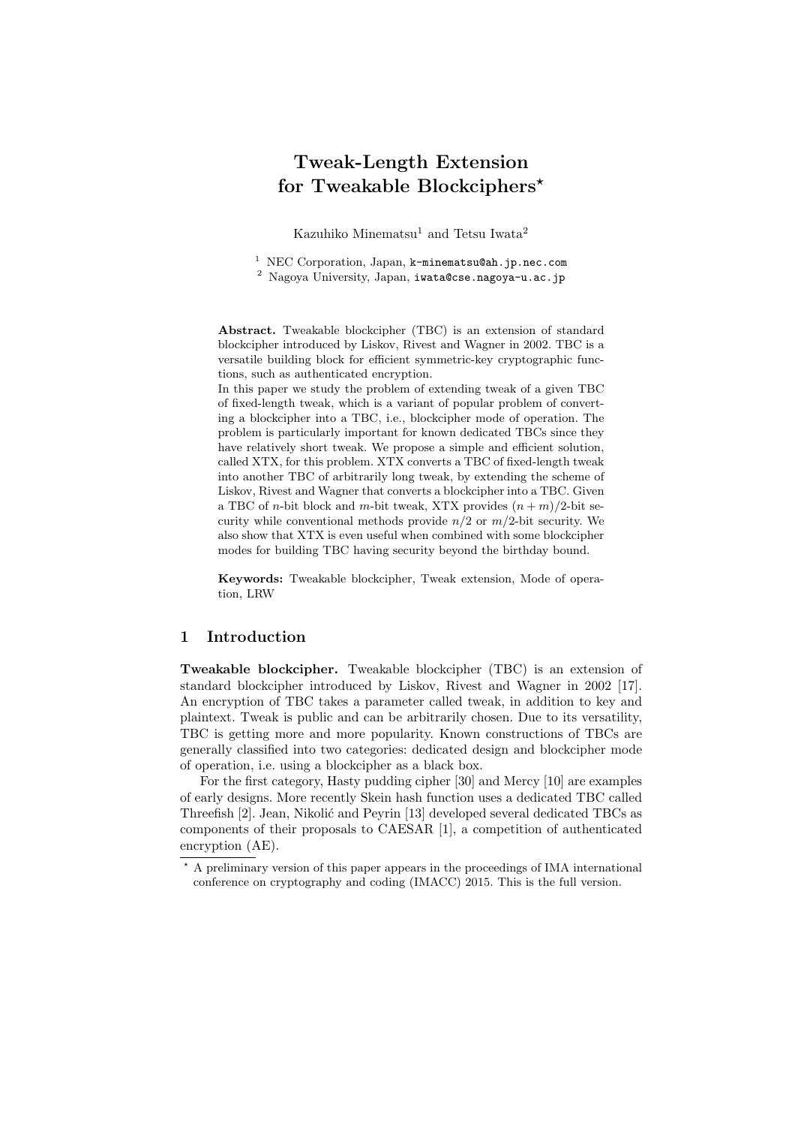# **Tweak-Length Extension for Tweakable Blockciphers***<sup>⋆</sup>*

Kazuhiko Minematsu<sup>1</sup> and Tetsu Iwata<sup>2</sup>

<sup>1</sup> NEC Corporation, Japan, k-minematsu@ah.jp.nec.com <sup>2</sup> Nagoya University, Japan, iwata@cse.nagoya-u.ac.jp

**Abstract.** Tweakable blockcipher (TBC) is an extension of standard blockcipher introduced by Liskov, Rivest and Wagner in 2002. TBC is a versatile building block for efficient symmetric-key cryptographic functions, such as authenticated encryption.

In this paper we study the problem of extending tweak of a given TBC of fixed-length tweak, which is a variant of popular problem of converting a blockcipher into a TBC, i.e., blockcipher mode of operation. The problem is particularly important for known dedicated TBCs since they have relatively short tweak. We propose a simple and efficient solution, called XTX, for this problem. XTX converts a TBC of fixed-length tweak into another TBC of arbitrarily long tweak, by extending the scheme of Liskov, Rivest and Wagner that converts a blockcipher into a TBC. Given a TBC of *n*-bit block and *m*-bit tweak, XTX provides  $(n + m)/2$ -bit security while conventional methods provide  $n/2$  or  $m/2$ -bit security. We also show that XTX is even useful when combined with some blockcipher modes for building TBC having security beyond the birthday bound.

**Keywords:** Tweakable blockcipher, Tweak extension, Mode of operation, LRW

#### **1 Introduction**

**Tweakable blockcipher.** Tweakable blockcipher (TBC) is an extension of standard blockcipher introduced by Liskov, Rivest and Wagner in 2002 [17]. An encryption of TBC takes a parameter called tweak, in addition to key and plaintext. Tweak is public and can be arbitrarily chosen. Due to its versatility, TBC is getting more and more popularity. Known constructions of TBCs are generally classified into two categories: dedicated design and blockcipher mode of operation, i.e. using a blockcipher as a black box.

For the first category, Hasty pudding cipher [30] and Mercy [10] are examples of early designs. More recently Skein hash function uses a dedicated TBC called Threefish [2]. Jean, Nikolić and Peyrin [13] developed several dedicated TBCs as components of their proposals to CAESAR [1], a competition of authenticated encryption (AE).

A preliminary version of this paper appears in the proceedings of IMA international conference on cryptography and coding (IMACC) 2015. This is the full version.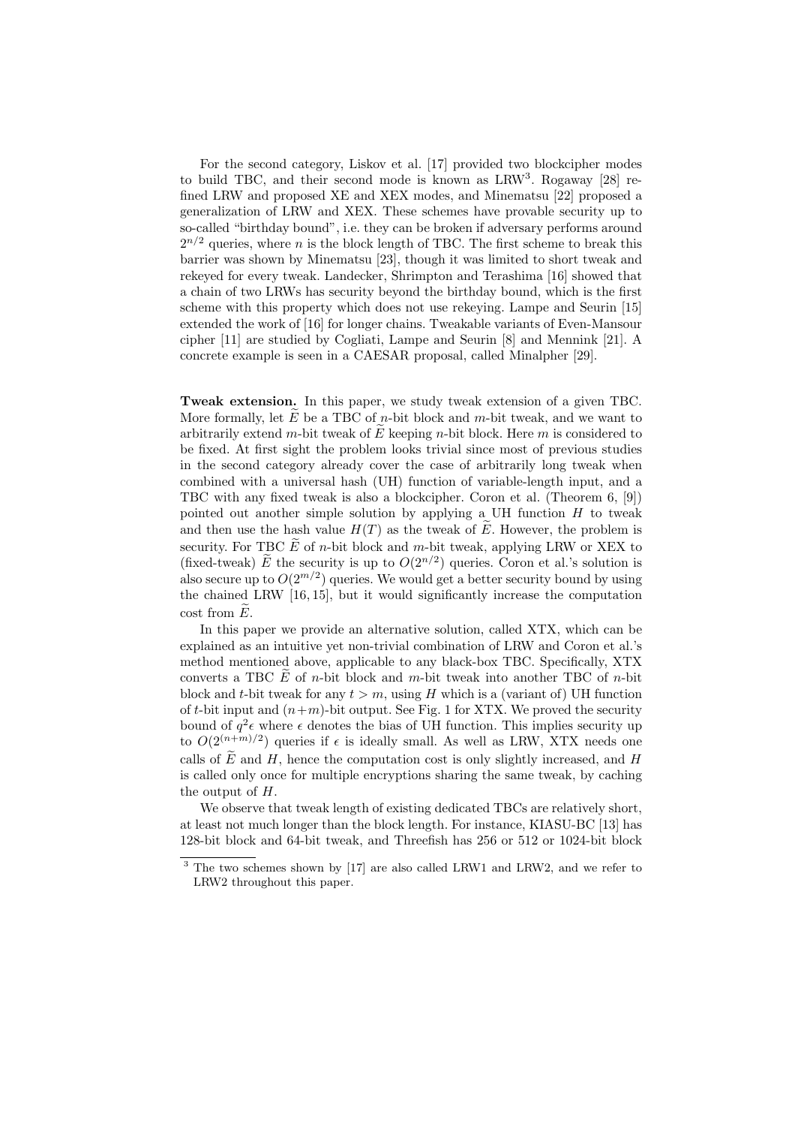For the second category, Liskov et al. [17] provided two blockcipher modes to build TBC, and their second mode is known as LRW<sup>3</sup>. Rogaway [28] refined LRW and proposed XE and XEX modes, and Minematsu [22] proposed a generalization of LRW and XEX. These schemes have provable security up to so-called "birthday bound", i.e. they can be broken if adversary performs around  $2^{n/2}$  queries, where *n* is the block length of TBC. The first scheme to break this barrier was shown by Minematsu [23], though it was limited to short tweak and rekeyed for every tweak. Landecker, Shrimpton and Terashima [16] showed that a chain of two LRWs has security beyond the birthday bound, which is the first scheme with this property which does not use rekeying. Lampe and Seurin [15] extended the work of [16] for longer chains. Tweakable variants of Even-Mansour cipher [11] are studied by Cogliati, Lampe and Seurin [8] and Mennink [21]. A concrete example is seen in a CAESAR proposal, called Minalpher [29].

**Tweak extension.** In this paper, we study tweak extension of a given TBC. More formally, let  $\tilde{E}$  be a TBC of *n*-bit block and *m*-bit tweak, and we want to arbitrarily extend  $m$ -bit tweak of  $E$  keeping  $n$ -bit block. Here  $m$  is considered to be fixed. At first sight the problem looks trivial since most of previous studies in the second category already cover the case of arbitrarily long tweak when combined with a universal hash (UH) function of variable-length input, and a TBC with any fixed tweak is also a blockcipher. Coron et al. (Theorem 6, [9]) pointed out another simple solution by applying a UH function *H* to tweak and then use the hash value  $H(T)$  as the tweak of  $\overline{E}$ . However, the problem is security. For TBC  $\tilde{E}$  of *n*-bit block and *m*-bit tweak, applying LRW or XEX to (fixed-tweak)  $\tilde{E}$  the security is up to  $O(2^{n/2})$  queries. Coron et al.'s solution is also secure up to  $O(2^{m/2})$  queries. We would get a better security bound by using the chained LRW [16, 15], but it would significantly increase the computation  $\cos t$  from  $\widetilde{E}$ .

In this paper we provide an alternative solution, called XTX, which can be explained as an intuitive yet non-trivial combination of LRW and Coron et al.'s method mentioned above, applicable to any black-box TBC. Specifically, XTX converts a TBC  $E$  of *n*-bit block and *m*-bit tweak into another TBC of *n*-bit block and *t*-bit tweak for any  $t > m$ , using *H* which is a (variant of) UH function of *t*-bit input and  $(n+m)$ -bit output. See Fig. 1 for XTX. We proved the security bound of  $q^2\epsilon$  where  $\epsilon$  denotes the bias of UH function. This implies security up to  $O(2^{(n+m)/2})$  queries if  $\epsilon$  is ideally small. As well as LRW, XTX needs one calls of  $\tilde{E}$  and  $H$ , hence the computation cost is only slightly increased, and  $H$ is called only once for multiple encryptions sharing the same tweak, by caching the output of *H*.

We observe that tweak length of existing dedicated TBCs are relatively short, at least not much longer than the block length. For instance, KIASU-BC [13] has 128-bit block and 64-bit tweak, and Threefish has 256 or 512 or 1024-bit block

<sup>3</sup> The two schemes shown by [17] are also called LRW1 and LRW2, and we refer to LRW2 throughout this paper.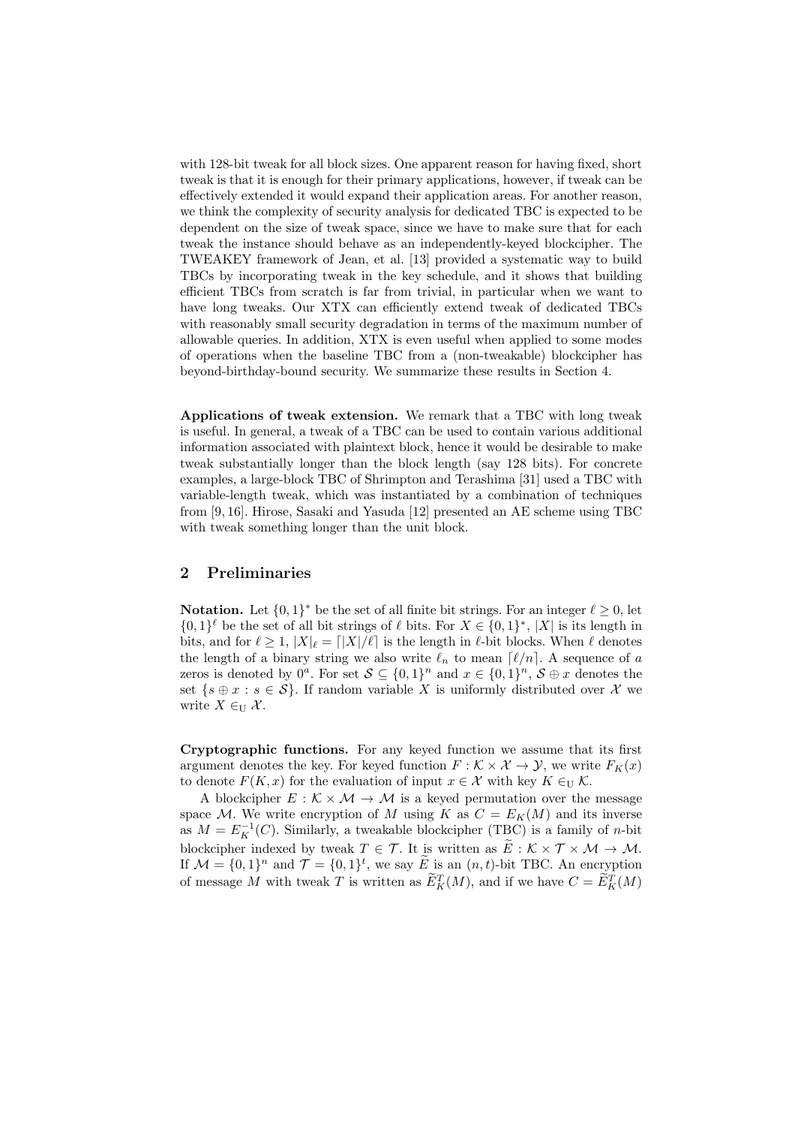with 128-bit tweak for all block sizes. One apparent reason for having fixed, short tweak is that it is enough for their primary applications, however, if tweak can be effectively extended it would expand their application areas. For another reason, we think the complexity of security analysis for dedicated TBC is expected to be dependent on the size of tweak space, since we have to make sure that for each tweak the instance should behave as an independently-keyed blockcipher. The TWEAKEY framework of Jean, et al. [13] provided a systematic way to build TBCs by incorporating tweak in the key schedule, and it shows that building efficient TBCs from scratch is far from trivial, in particular when we want to have long tweaks. Our XTX can efficiently extend tweak of dedicated TBCs with reasonably small security degradation in terms of the maximum number of allowable queries. In addition, XTX is even useful when applied to some modes of operations when the baseline TBC from a (non-tweakable) blockcipher has beyond-birthday-bound security. We summarize these results in Section 4.

**Applications of tweak extension.** We remark that a TBC with long tweak is useful. In general, a tweak of a TBC can be used to contain various additional information associated with plaintext block, hence it would be desirable to make tweak substantially longer than the block length (say 128 bits). For concrete examples, a large-block TBC of Shrimpton and Terashima [31] used a TBC with variable-length tweak, which was instantiated by a combination of techniques from [9, 16]. Hirose, Sasaki and Yasuda [12] presented an AE scheme using TBC with tweak something longer than the unit block.

# **2 Preliminaries**

**Notation.** Let  $\{0,1\}^*$  be the set of all finite bit strings. For an integer  $\ell \geq 0$ , let  $\{0,1\}^{\ell}$  be the set of all bit strings of  $\ell$  bits. For  $X \in \{0,1\}^*$ ,  $|X|$  is its length in bits, and for  $\ell \geq 1$ ,  $|X|_{\ell} = |X|/\ell$  is the length in  $\ell$ -bit blocks. When  $\ell$  denotes the length of a binary string we also write  $\ell_n$  to mean  $\lceil \ell/n \rceil$ . A sequence of *a* zeros is denoted by  $0^a$ . For set  $S \subseteq \{0,1\}^n$  and  $x \in \{0,1\}^n$ ,  $S \oplus x$  denotes the set  $\{s \oplus x : s \in \mathcal{S}\}\$ . If random variable X is uniformly distributed over X we write  $X \in U$   $X$ .

**Cryptographic functions.** For any keyed function we assume that its first argument denotes the key. For keyed function  $F : \mathcal{K} \times \mathcal{X} \to \mathcal{Y}$ , we write  $F_K(x)$ to denote  $F(K, x)$  for the evaluation of input  $x \in \mathcal{X}$  with key  $K \in_{\mathcal{U}} \mathcal{K}$ .

A blockcipher  $E : \mathcal{K} \times \mathcal{M} \rightarrow \mathcal{M}$  is a keyed permutation over the message space *M*. We write encryption of *M* using *K* as  $C = E_K(M)$  and its inverse as  $M = E_K^{-1}(C)$ . Similarly, a tweakable blockcipher (TBC) is a family of *n*-bit blockcipher indexed by tweak  $T \in \mathcal{T}$ . It is written as  $\tilde{E}: \mathcal{K} \times \mathcal{T} \times \mathcal{M} \to \mathcal{M}$ . If  $\mathcal{M} = \{0, 1\}^n$  and  $\mathcal{T} = \{0, 1\}^t$ , we say  $\widetilde{E}$  is an  $(n, t)$ -bit TBC. An encryption of message *M* with tweak *T* is written as  $\widetilde{E}_K^T(M)$ , and if we have  $C = \widetilde{E}_K^T(M)$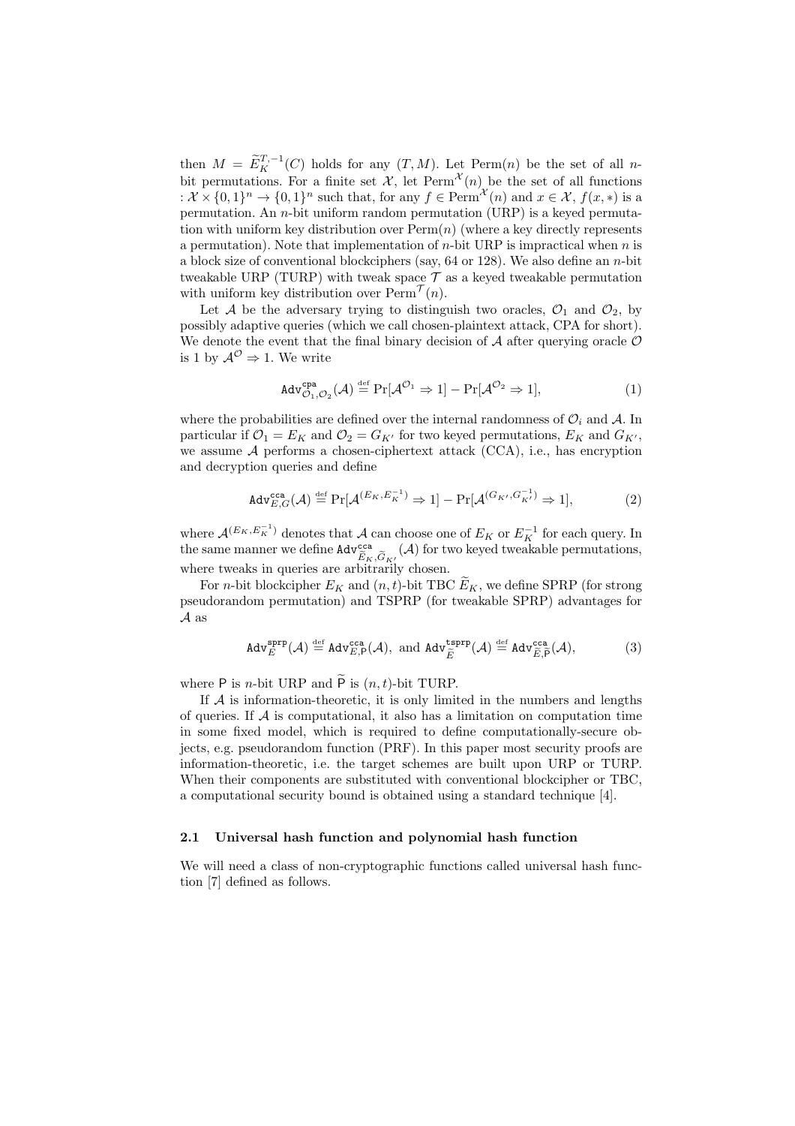then  $M = \widetilde{E}_K^{T, -1}(C)$  holds for any  $(T, M)$ . Let Perm $(n)$  be the set of all *n*bit permutations. For a finite set  $\mathcal{X}$ , let  $\text{Perm}^{\mathcal{X}}(n)$  be the set of all functions  $: \mathcal{X} \times \{0,1\}^n \to \{0,1\}^n$  such that, for any  $f \in \text{Perm}^{\mathcal{X}}(n)$  and  $x \in \mathcal{X}, f(x,*)$  is a permutation. An *n*-bit uniform random permutation (URP) is a keyed permutation with uniform key distribution over Perm(*n*) (where a key directly represents a permutation). Note that implementation of *n*-bit URP is impractical when *n* is a block size of conventional blockciphers (say, 64 or 128). We also define an *n*-bit tweakable URP (TURP) with tweak space  $\mathcal T$  as a keyed tweakable permutation with uniform key distribution over  $\text{Perm}^{\mathcal{T}}(n)$ .

Let *A* be the adversary trying to distinguish two oracles,  $\mathcal{O}_1$  and  $\mathcal{O}_2$ , by possibly adaptive queries (which we call chosen-plaintext attack, CPA for short). We denote the event that the final binary decision of  $A$  after querying oracle  $O$ is 1 by  $\mathcal{A}^{\mathcal{O}} \Rightarrow 1$ . We write

$$
\text{Adv}_{\mathcal{O}_1,\mathcal{O}_2}^{\text{cpa}}(\mathcal{A}) \stackrel{\text{def}}{=} \Pr[\mathcal{A}^{\mathcal{O}_1} \Rightarrow 1] - \Pr[\mathcal{A}^{\mathcal{O}_2} \Rightarrow 1],\tag{1}
$$

where the probabilities are defined over the internal randomness of  $\mathcal{O}_i$  and  $\mathcal{A}$ . In particular if  $\mathcal{O}_1 = E_K$  and  $\mathcal{O}_2 = G_{K'}$  for two keyed permutations,  $E_K$  and  $G_{K'}$ , we assume *A* performs a chosen-ciphertext attack (CCA), i.e., has encryption and decryption queries and define

$$
\operatorname{Adv}_{E,G}^{\operatorname{cca}}(\mathcal{A}) \stackrel{\text{def}}{=} \Pr[\mathcal{A}^{(E_K, E_K^{-1})} \Rightarrow 1] - \Pr[\mathcal{A}^{(G_{K'}, G_{K'}^{-1})} \Rightarrow 1],\tag{2}
$$

where  $\mathcal{A}^{(E_K, E_K^{-1})}$  denotes that  $\mathcal{A}$  can choose one of  $E_K$  or  $E_K^{-1}$  for each query. In the same manner we define  $\text{Adv}_{\widetilde{E}_K, \widetilde{G}_{K'}}^{\text{cca}}(\mathcal{A})$  for two keyed tweakable permutations, where tweaks in queries are arbitrarily chosen.

For *n*-bit blockcipher  $E_K$  and  $(n, t)$ -bit TBC  $\widetilde{E}_K$ , we define SPRP (for strong pseudorandom permutation) and TSPRP (for tweakable SPRP) advantages for *A* as

$$
\text{Adv}_{E}^{\text{sprp}}(\mathcal{A}) \stackrel{\text{def}}{=} \text{Adv}_{E,\mathsf{P}}^{\text{cca}}(\mathcal{A}), \text{ and } \text{Adv}_{\tilde{E}}^{\text{tsprp}}(\mathcal{A}) \stackrel{\text{def}}{=} \text{Adv}_{\tilde{E},\tilde{\mathsf{P}}}^{\text{cca}}(\mathcal{A}),\tag{3}
$$

where P is *n*-bit URP and  $\widetilde{P}$  is  $(n, t)$ -bit TURP.

If  $A$  is information-theoretic, it is only limited in the numbers and lengths of queries. If *A* is computational, it also has a limitation on computation time in some fixed model, which is required to define computationally-secure objects, e.g. pseudorandom function (PRF). In this paper most security proofs are information-theoretic, i.e. the target schemes are built upon URP or TURP. When their components are substituted with conventional blockcipher or TBC, a computational security bound is obtained using a standard technique [4].

#### **2.1 Universal hash function and polynomial hash function**

We will need a class of non-cryptographic functions called universal hash function [7] defined as follows.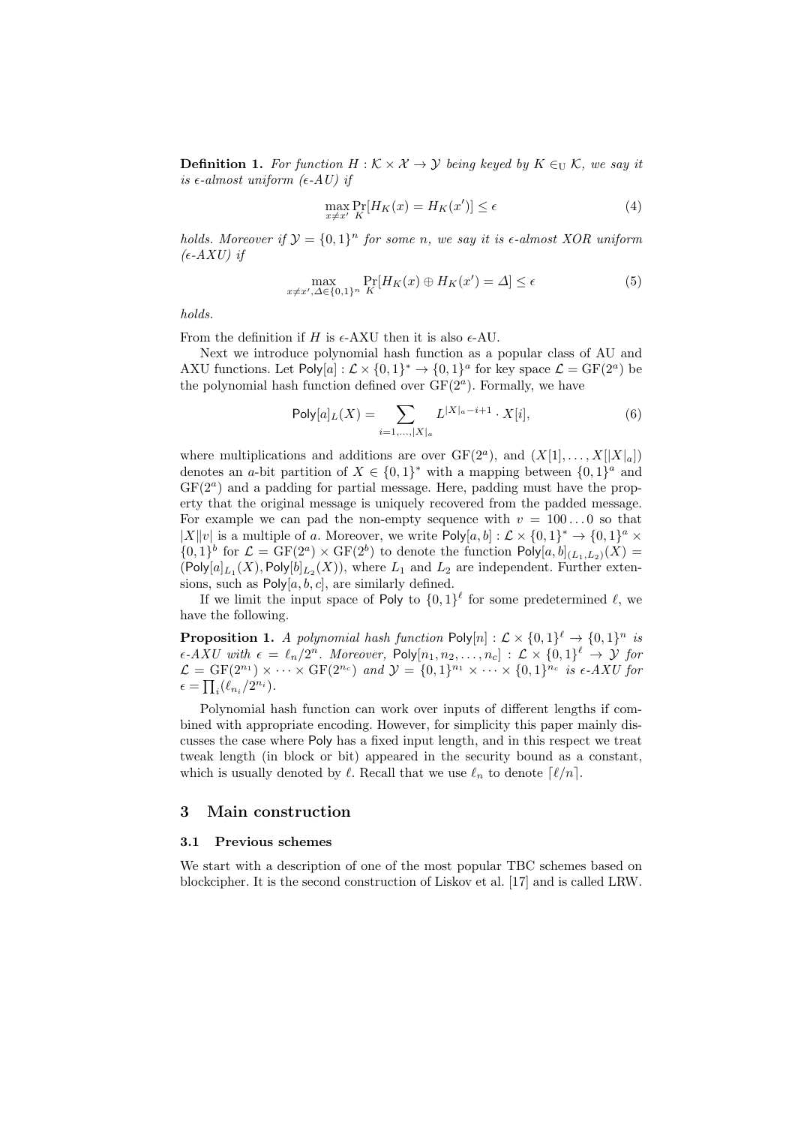**Definition 1.** For function  $H : K \times X \rightarrow Y$  being keyed by  $K \in \mathcal{U}$  K, we say it  $i$ *s*  $\epsilon$ *-almost uniform (* $\epsilon$ *-AU) if* 

$$
\max_{x \neq x'} \Pr_{K}[H_K(x) = H_K(x')] \le \epsilon \tag{4}
$$

*holds. Moreover if*  $\mathcal{Y} = \{0,1\}^n$  *for some n*, we say *it is*  $\epsilon$ -almost XOR uniform  $($  $\epsilon$ *-AXU* $)$ *if* 

$$
\max_{x \neq x', \Delta \in \{0,1\}^n} \Pr_K[H_K(x) \oplus H_K(x') = \Delta] \le \epsilon \tag{5}
$$

*holds.*

From the definition if  $H$  is  $\epsilon$ -AXU then it is also  $\epsilon$ -AU.

Next we introduce polynomial hash function as a popular class of AU and AXU functions. Let  $Poly[a]: \mathcal{L} \times \{0,1\}^* \to \{0,1\}^a$  for key space  $\mathcal{L} = GF(2^a)$  be the polynomial hash function defined over  $GF(2<sup>a</sup>)$ . Formally, we have

$$
Poly[a]_L(X) = \sum_{i=1,\dots,|X|_a} L^{|X|_a - i + 1} \cdot X[i],\tag{6}
$$

where multiplications and additions are over  $GF(2<sup>a</sup>)$ , and  $(X[1], \ldots, X[|X|_a])$ denotes an *a*-bit partition of  $X \in \{0,1\}^*$  with a mapping between  $\{0,1\}^a$  and GF(2*<sup>a</sup>* ) and a padding for partial message. Here, padding must have the property that the original message is uniquely recovered from the padded message. For example we can pad the non-empty sequence with  $v = 100...0$  so that  $|X||v|$  is a multiple of *a*. Moreover, we write Poly $[a, b] : \mathcal{L} \times \{0, 1\}^* \to \{0, 1\}^a \times$  $\{0,1\}^b$  for  $\mathcal{L} = \text{GF}(2^a) \times \text{GF}(2^b)$  to denote the function  $\text{Poly}[a,b]_{(L_1,L_2)}(X) =$  $(\text{Poly}[a]_{L_1}(X), \text{Poly}[b]_{L_2}(X)),$  where  $L_1$  and  $L_2$  are independent. Further extensions, such as  $Poly[a, b, c]$ , are similarly defined.

If we limit the input space of Poly to  $\{0,1\}^{\ell}$  for some predetermined  $\ell$ , we have the following.

**Proposition 1.** *A polynomial hash function*  $\text{Poly}[n]: \mathcal{L} \times \{0,1\}^{\ell} \rightarrow \{0,1\}^n$  *is*  $\epsilon$ *-AXU with*  $\epsilon = \ell_n/2^n$ *. Moreover*,  $\text{Poly}[n_1, n_2, \ldots, n_c] : \mathcal{L} \times \{0, 1\}^{\ell} \to \mathcal{Y}$  for  $\mathcal{L} = \text{GF}(2^{n_1}) \times \cdots \times \text{GF}(2^{n_c})$  and  $\mathcal{Y} = \{0, 1\}^{n_1} \times \cdots \times \{0, 1\}^{n_c}$  is  $\epsilon$ -AXU for  $\epsilon = \prod_i (\ell_{n_i}/2^{n_i}).$ 

Polynomial hash function can work over inputs of different lengths if combined with appropriate encoding. However, for simplicity this paper mainly discusses the case where Poly has a fixed input length, and in this respect we treat tweak length (in block or bit) appeared in the security bound as a constant, which is usually denoted by  $\ell$ . Recall that we use  $\ell_n$  to denote  $\lceil \ell/n \rceil$ .

#### **3 Main construction**

#### **3.1 Previous schemes**

We start with a description of one of the most popular TBC schemes based on blockcipher. It is the second construction of Liskov et al. [17] and is called LRW.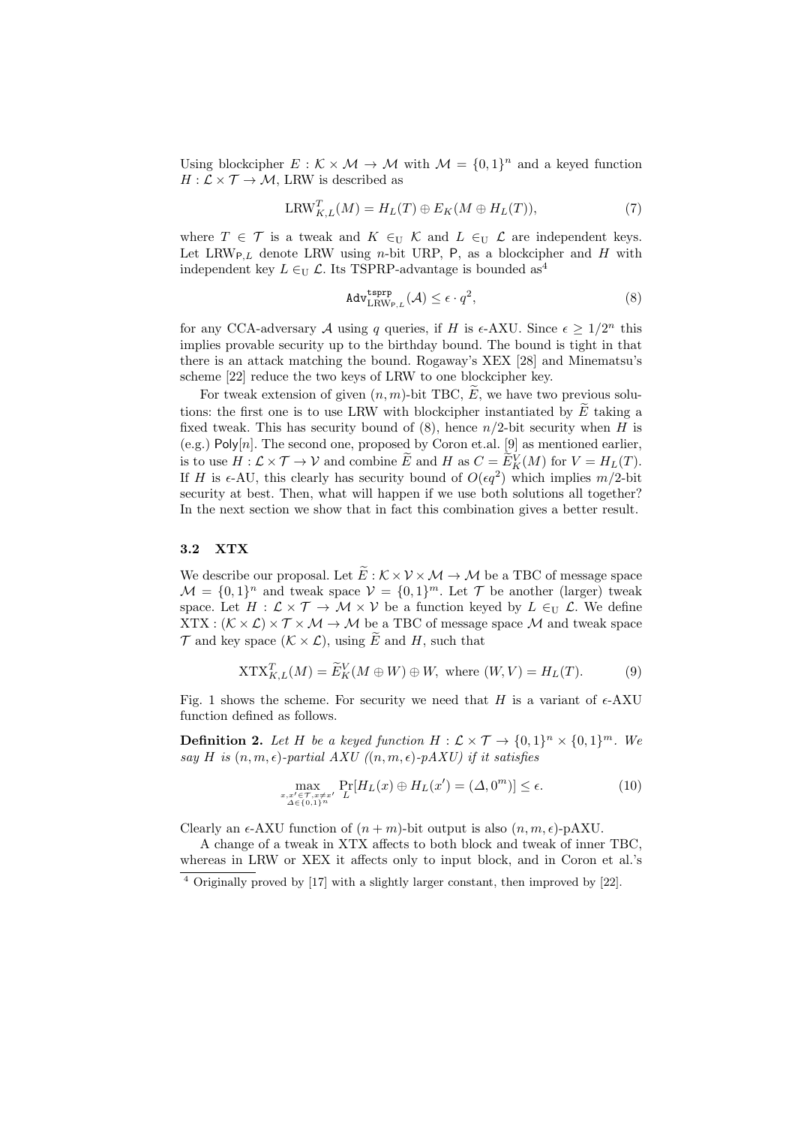Using blockcipher  $E : \mathcal{K} \times \mathcal{M} \to \mathcal{M}$  with  $\mathcal{M} = \{0,1\}^n$  and a keyed function  $H: \mathcal{L} \times \mathcal{T} \to \mathcal{M}$ , LRW is described as

$$
LRW_{K,L}^T(M) = H_L(T) \oplus E_K(M \oplus H_L(T)), \tag{7}
$$

where  $T \in \mathcal{T}$  is a tweak and  $K \in_{\mathcal{U}} \mathcal{K}$  and  $L \in_{\mathcal{U}} \mathcal{L}$  are independent keys. Let  $LRW_{P,L}$  denote LRW using *n*-bit URP, P, as a blockcipher and *H* with independent key  $L \in U$ . Its TSPRP-advantage is bounded as<sup>4</sup>

$$
\text{Adv}_{\text{LRW}_{P,L}}^{\text{tsprp}}(\mathcal{A}) \le \epsilon \cdot q^2,\tag{8}
$$

for any CCA-adversary A using q queries, if H is  $\epsilon$ -AXU. Since  $\epsilon \geq 1/2^n$  this implies provable security up to the birthday bound. The bound is tight in that there is an attack matching the bound. Rogaway's XEX [28] and Minematsu's scheme [22] reduce the two keys of LRW to one blockcipher key.

For tweak extension of given  $(n, m)$ -bit TBC,  $\tilde{E}$ , we have two previous solutions: the first one is to use LRW with blockcipher instantiated by  $\tilde{E}$  taking a fixed tweak. This has security bound of  $(8)$ , hence  $n/2$ -bit security when *H* is (e.g.) Poly[*n*]. The second one, proposed by Coron et.al. [9] as mentioned earlier, is to use  $H: \mathcal{L} \times \mathcal{T} \to \mathcal{V}$  and combine  $\widetilde{E}$  and  $H$  as  $C = \widetilde{E}_K^V(M)$  for  $V = H_L(T)$ . If *H* is  $\epsilon$ -AU, this clearly has security bound of  $O(\epsilon q^2)$  which implies  $m/2$ -bit security at best. Then, what will happen if we use both solutions all together? In the next section we show that in fact this combination gives a better result.

## **3.2 XTX**

We describe our proposal. Let  $\tilde{E}: \mathcal{K} \times \mathcal{V} \times \mathcal{M} \to \mathcal{M}$  be a TBC of message space  $\mathcal{M} = \{0, 1\}^n$  and tweak space  $\mathcal{V} = \{0, 1\}^m$ . Let  $\mathcal{T}$  be another (larger) tweak space. Let  $H: \mathcal{L} \times \mathcal{T} \to \mathcal{M} \times \mathcal{V}$  be a function keyed by  $L \in_{\mathcal{U}} \mathcal{L}$ . We define  $XTX : (\mathcal{K} \times \mathcal{L}) \times \mathcal{T} \times \mathcal{M} \rightarrow \mathcal{M}$  be a TBC of message space  $\mathcal{M}$  and tweak space  $\mathcal T$  and key space  $(\mathcal K \times \mathcal L)$ , using  $\widetilde E$  and *H*, such that

$$
XTX_{K,L}^T(M) = \widetilde{E}_K^V(M \oplus W) \oplus W, \text{ where } (W, V) = H_L(T). \tag{9}
$$

Fig. 1 shows the scheme. For security we need that  $H$  is a variant of  $\epsilon$ -AXU function defined as follows.

**Definition 2.** Let H be a keyed function  $H: \mathcal{L} \times \mathcal{T} \rightarrow \{0,1\}^n \times \{0,1\}^m$ . We *say H is*  $(n, m, \epsilon)$ *-partial AXU*  $((n, m, \epsilon)$ *-pAXU* $)$  *if it satisfies* 

$$
\max_{\substack{x,x'\in\mathcal{T},x\neq x'\\ \Delta\in\{0,1\}^n}} \Pr[H_L(x)\oplus H_L(x')=(\Delta,0^m)] \leq \epsilon. \tag{10}
$$

Clearly an  $\epsilon$ -AXU function of  $(n+m)$ -bit output is also  $(n, m, \epsilon)$ -pAXU.

A change of a tweak in XTX affects to both block and tweak of inner TBC, whereas in LRW or XEX it affects only to input block, and in Coron et al.'s

<sup>4</sup> Originally proved by [17] with a slightly larger constant, then improved by [22].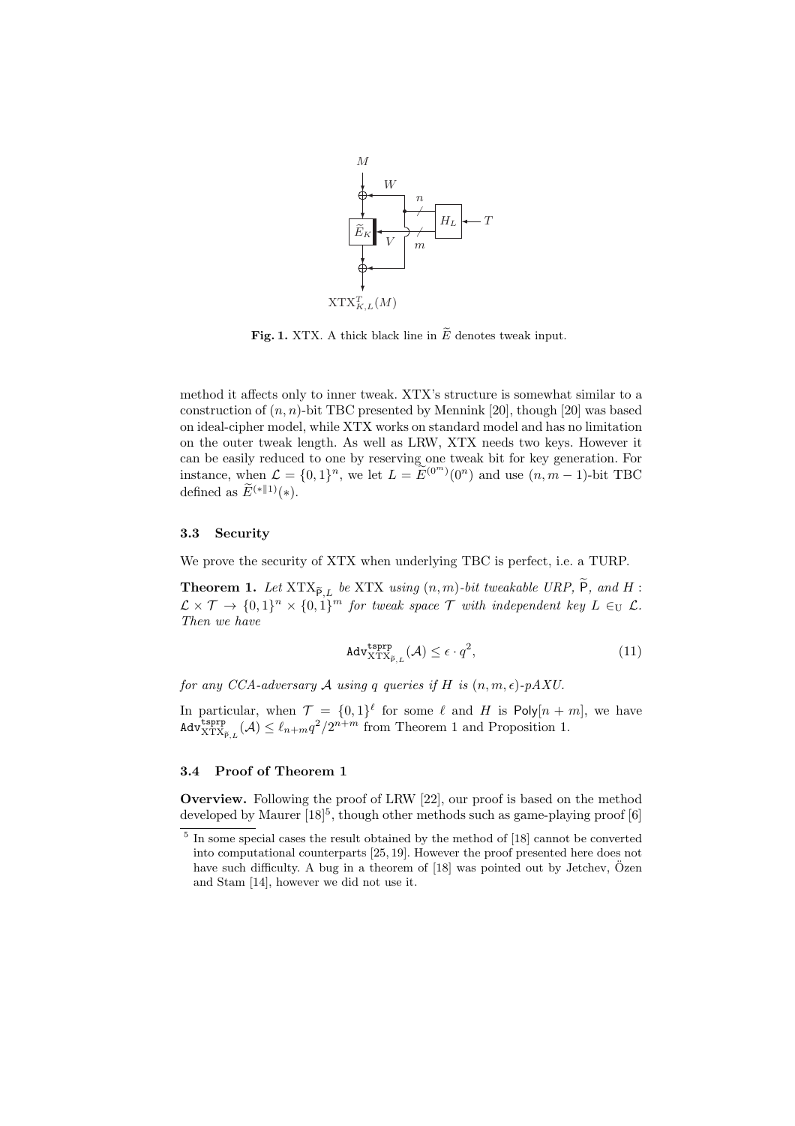

**Fig. 1.** XTX. A thick black line in  $\widetilde{E}$  denotes tweak input.

method it affects only to inner tweak. XTX's structure is somewhat similar to a construction of  $(n, n)$ -bit TBC presented by Mennink [20], though [20] was based on ideal-cipher model, while XTX works on standard model and has no limitation on the outer tweak length. As well as LRW, XTX needs two keys. However it can be easily reduced to one by reserving one tweak bit for key generation. For instance, when  $\mathcal{L} = \{0, 1\}^n$ , we let  $L = \widetilde{E}^{(0^m)}(0^n)$  and use  $(n, m - 1)$ -bit TBC defined as  $\widetilde{E}^{(*||1)}(*)$ .

## **3.3 Security**

We prove the security of XTX when underlying TBC is perfect, i.e. a TURP.

**Theorem 1.** Let  $XTX_{\tilde{P},L}$  be XTX *using*  $(n,m)$ *-bit tweakable URP,* P, and H:  $\mathcal{L} \times \mathcal{T} \to \{0,1\}^n \times \{0,1\}^m$  for tweak space  $\mathcal{T}$  with independent key  $L \in_{\mathrm{U}} \mathcal{L}$ . *Then we have*

$$
\text{Adv}_{\text{NTX}_{\tilde{P},L}}^{\text{tsprp}}(\mathcal{A}) \le \epsilon \cdot q^2,\tag{11}
$$

*for any CCA-adversary A using q queries if H is*  $(n, m, \epsilon)$ -pAXU.

In particular, when  $\mathcal{T} = \{0,1\}^{\ell}$  for some  $\ell$  and  $H$  is  $\text{Poly}[n+m]$ , we have  $\text{Adv}_{\text{XTX}_{\tilde{P},L}}^{\text{tsprp}}(\mathcal{A}) \leq \ell_{n+m}q^2/2^{n+m}$  from Theorem 1 and Proposition 1.

## **3.4 Proof of Theorem 1**

**Overview.** Following the proof of LRW [22], our proof is based on the method developed by Maurer [18]<sup>5</sup>, though other methods such as game-playing proof [6]

<sup>&</sup>lt;sup>5</sup> In some special cases the result obtained by the method of [18] cannot be converted into computational counterparts [25, 19]. However the proof presented here does not have such difficulty. A bug in a theorem of [18] was pointed out by Jetchev, Özen and Stam [14], however we did not use it.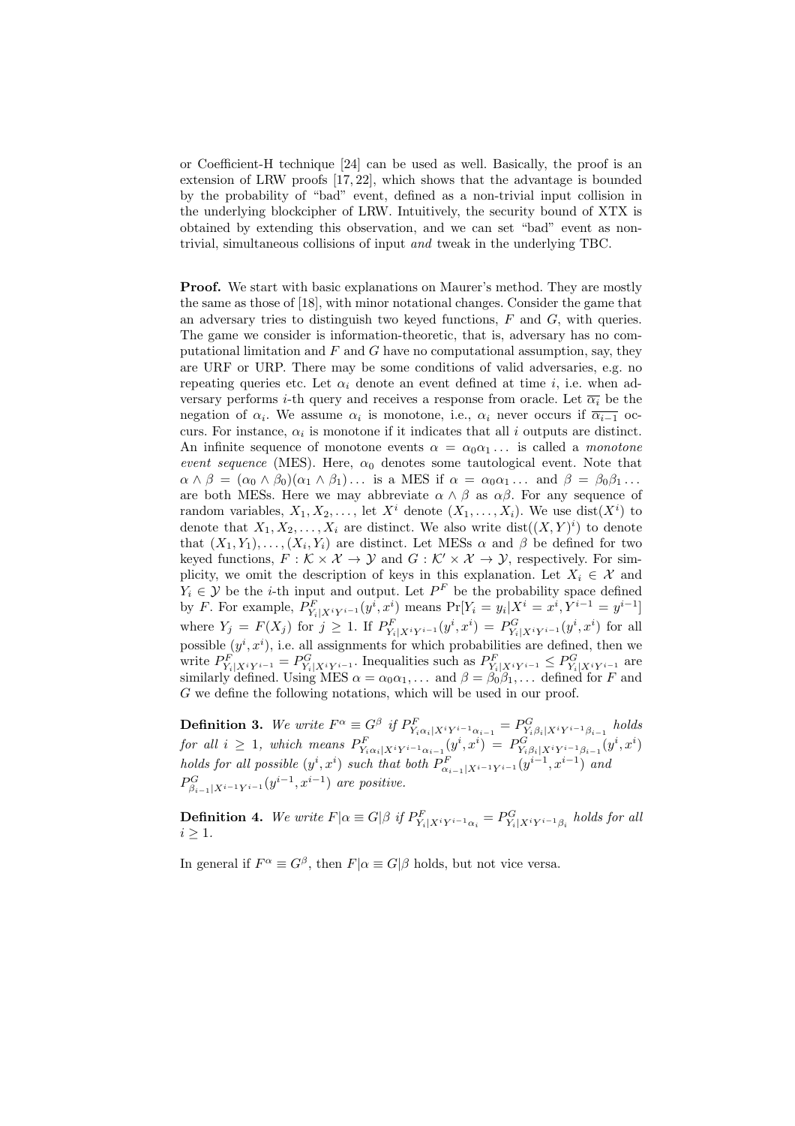or Coefficient-H technique [24] can be used as well. Basically, the proof is an extension of LRW proofs [17, 22], which shows that the advantage is bounded by the probability of "bad" event, defined as a non-trivial input collision in the underlying blockcipher of LRW. Intuitively, the security bound of XTX is obtained by extending this observation, and we can set "bad" event as nontrivial, simultaneous collisions of input *and* tweak in the underlying TBC.

**Proof.** We start with basic explanations on Maurer's method. They are mostly the same as those of [18], with minor notational changes. Consider the game that an adversary tries to distinguish two keyed functions, *F* and *G*, with queries. The game we consider is information-theoretic, that is, adversary has no computational limitation and *F* and *G* have no computational assumption, say, they are URF or URP. There may be some conditions of valid adversaries, e.g. no repeating queries etc. Let  $\alpha_i$  denote an event defined at time *i*, i.e. when adversary performs *i*-th query and receives a response from oracle. Let  $\overline{\alpha_i}$  be the negation of  $\alpha_i$ . We assume  $\alpha_i$  is monotone, i.e.,  $\alpha_i$  never occurs if  $\overline{\alpha_{i-1}}$  occurs. For instance,  $\alpha_i$  is monotone if it indicates that all *i* outputs are distinct. An infinite sequence of monotone events  $\alpha = \alpha_0 \alpha_1 \dots$  is called a *monotone event sequence* (MES). Here,  $\alpha_0$  denotes some tautological event. Note that  $\alpha \wedge \beta = (\alpha_0 \wedge \beta_0)(\alpha_1 \wedge \beta_1) \dots$  is a MES if  $\alpha = \alpha_0 \alpha_1 \dots$  and  $\beta = \beta_0 \beta_1 \dots$ are both MESs. Here we may abbreviate  $\alpha \wedge \beta$  as  $\alpha \beta$ . For any sequence of random variables,  $X_1, X_2, \ldots$ , let  $X^i$  denote  $(X_1, \ldots, X_i)$ . We use  $dist(X^i)$  to denote that  $X_1, X_2, \ldots, X_i$  are distinct. We also write  $dist((X, Y)^i)$  to denote that  $(X_1, Y_1), \ldots, (X_i, Y_i)$  are distinct. Let MESs  $\alpha$  and  $\beta$  be defined for two keyed functions,  $F : \mathcal{K} \times \mathcal{X} \to \mathcal{Y}$  and  $G : \mathcal{K}' \times \mathcal{X} \to \mathcal{Y}$ , respectively. For simplicity, we omit the description of keys in this explanation. Let  $X_i \in \mathcal{X}$  and  $Y_i \in \mathcal{Y}$  be the *i*-th input and output. Let  $P^F$  be the probability space defined by *F*. For example,  $P_{Y_i|X^iY^{i-1}}^F(y^i, x^i)$  means  $Pr[Y_i = y_i | X^i = x^i, Y^{i-1} = y^{i-1}]$ where  $Y_j = F(X_j)$  for  $j \ge 1$ . If  $P_{Y_i|X^iY^{i-1}}^F(y^i, x^i) = P_{Y_i|X^iY^{i-1}}^G(y^i, x^i)$  for all possible  $(y^i, x^i)$ , i.e. all assignments for which probabilities are defined, then we write  $P_{Y_i|X^iY^{i-1}}^F = P_{Y_i|X^iY^{i-1}}^G$ . Inequalities such as  $P_{Y_i|X^iY^{i-1}}^F \leq P_{Y_i|X^iY^{i-1}}^G$  are similarly defined. Using MES  $\alpha = \alpha_0 \alpha_1, \ldots$  and  $\beta = \beta_0 \beta_1, \ldots$  defined for *F* and *G* we define the following notations, which will be used in our proof.

**Definition 3.** We write  $F^{\alpha} \equiv G^{\beta}$  if  $P_{Y_i \alpha_i | X^i Y^{i-1} \alpha_{i-1}}^F = P_{Y_i \beta_i | X^i Y^{i-1} \beta_{i-1}}^G$  holds for all  $i \geq 1$ , which means  $P^F_{Y_i \alpha_i | X^i Y^{i-1} \alpha_{i-1}}(y^i, x^i) = P^G_{Y_i \beta_i | X^i Y^{i-1} \beta_{i-1}}(y^i, x^i)$ holds for all possible  $(y^i, x^i)$  such that both  $P^F_{\alpha_{i-1}|X^{i-1}Y^{i-1}}(y^{i-1}, x^{i-1})$  and  $P^G_{\beta_{i-1}|X^{i-1}Y^{i-1}}(y^{i-1}, x^{i-1})$  are positive.

**Definition 4.** We write  $F|\alpha \equiv G|\beta$  if  $P_{Y_i|X^iY^{i-1}\alpha_i}^F = P_{Y_i|X^iY^{i-1}\beta_i}^G$  holds for all *i ≥* 1*.*

In general if  $F^{\alpha} \equiv G^{\beta}$ , then  $F|\alpha \equiv G|\beta$  holds, but not vice versa.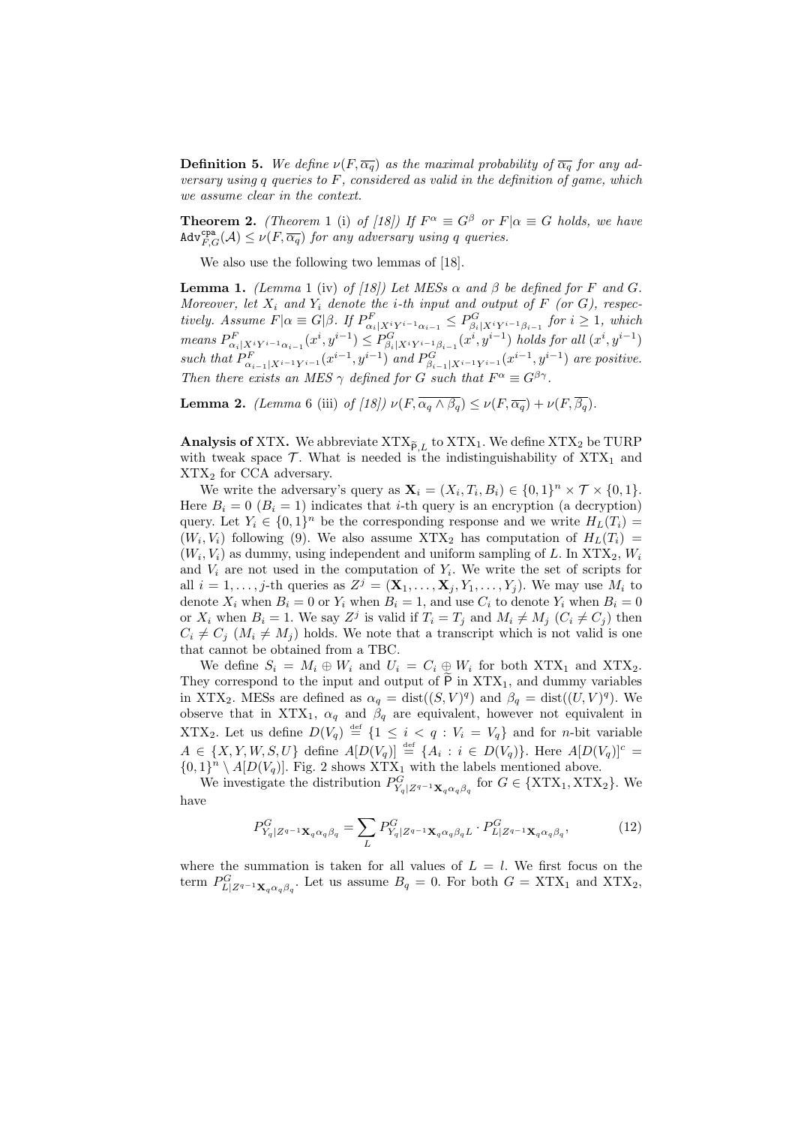**Definition 5.** We define  $\nu(F, \overline{\alpha_q})$  as the maximal probability of  $\overline{\alpha_q}$  for any ad*versary using q queries to F, considered as valid in the definition of game, which we assume clear in the context.*

**Theorem 2.** *(Theorem* 1 (i) *of [18])* If  $F^{\alpha} \equiv G^{\beta}$  *or*  $F|\alpha \equiv G$  *holds, we have*  $\text{Adv}_{F,G}^{\text{cpa}}(\mathcal{A}) \leq \nu(F, \overline{\alpha_q})$  *for any adversary using q queries.* 

We also use the following two lemmas of [18].

**Lemma 1.** *(Lemma* 1 (iv) *of [18])* Let MESs  $\alpha$  and  $\beta$  be defined for F and G. *Moreover, let*  $X_i$  *and*  $Y_i$  *denote the i-th input and output of*  $F$  (*or*  $G$ *), respec*tively. Assume  $F|\alpha \equiv G|\beta$ . If  $P^F_{\alpha_i|X^iY^{i-1}\alpha_{i-1}} \leq P^G_{\beta_i|X^iY^{i-1}\beta_{i-1}}$  for  $i \geq 1$ , which means  $P^F_{\alpha_i|X^iY^{i-1}\alpha_{i-1}}(x^i,y^{i-1}) \leq P^G_{\beta_i|X^iY^{i-1}\beta_{i-1}}(x^i,y^{i-1})$  holds for all  $(x^i,y^{i-1})$ such that  $P_{\alpha_{i-1}|X^{i-1}Y^{i-1}}^F(x^{i-1},y^{i-1})$  and  $P_{\beta_{i-1}|X^{i-1}Y^{i-1}}^G(x^{i-1},y^{i-1})$  are positive. *Then there exists an MES*  $\gamma$  *defined for G such that*  $F^{\alpha} \equiv G^{\beta\gamma}$ *.* 

**Lemma 2.** *(Lemma* 6 (iii) *of [18]*)  $\nu(F, \overline{\alpha_a \wedge \beta_a}) \leq \nu(F, \overline{\alpha_a}) + \nu(F, \overline{\beta_a})$ .

**Analysis of XTX.** We abbreviate  $\text{XTX}_{\tilde{P},L}$  to  $\text{XTX}_1$ . We define  $\text{XTX}_2$  be TURP with tweak space  $\mathcal{T}$ . What is needed is the indistinguishability of  $XTX_1$  and XTX<sup>2</sup> for CCA adversary.

We write the adversary's query as  $\mathbf{X}_i = (X_i, T_i, B_i) \in \{0, 1\}^n \times \mathcal{T} \times \{0, 1\}.$ Here  $B_i = 0$  ( $B_i = 1$ ) indicates that *i*-th query is an encryption (a decryption) query. Let  $Y_i \in \{0,1\}^n$  be the corresponding response and we write  $H_L(T_i)$  $(W_i, V_i)$  following (9). We also assume  $\text{XTX}_2$  has computation of  $H_L(T_i)$  =  $(W_i, V_i)$  as dummy, using independent and uniform sampling of *L*. In  $XTX_2, W_i$ and  $V_i$  are not used in the computation of  $Y_i$ . We write the set of scripts for all  $i = 1, \ldots, j$ -th queries as  $Z^{j} = (\mathbf{X}_1, \ldots, \mathbf{X}_j, Y_1, \ldots, Y_j)$ . We may use  $M_i$  to denote  $X_i$  when  $B_i = 0$  or  $Y_i$  when  $B_i = 1$ , and use  $C_i$  to denote  $Y_i$  when  $B_i = 0$ or  $X_i$  when  $B_i = 1$ . We say  $Z^j$  is valid if  $T_i = T_j$  and  $M_i \neq M_j$   $(C_i \neq C_j)$  then  $C_i \neq C_j$  ( $M_i \neq M_j$ ) holds. We note that a transcript which is not valid is one that cannot be obtained from a TBC.

We define  $S_i = M_i \oplus W_i$  and  $U_i = C_i \oplus W_i$  for both XTX<sub>1</sub> and XTX<sub>2</sub>. They correspond to the input and output of  $\overline{P}$  in  $\overline{X}TX_1$ , and dummy variables in XTX<sub>2</sub>. MESs are defined as  $\alpha_q = \text{dist}((S, V)^q)$  and  $\beta_q = \text{dist}((U, V)^q)$ . We observe that in XTX<sub>1</sub>,  $\alpha_q$  and  $\beta_q$  are equivalent, however not equivalent in XTX<sub>2</sub>. Let us define  $D(V_q) \stackrel{\text{def}}{=} \{1 \leq i \leq q : V_i = V_q\}$  and for *n*-bit variable  $A \in \{X, Y, W, S, U\}$  define  $A[D(V_q)] \stackrel{\text{def}}{=} \{A_i : i \in D(V_q)\}.$  Here  $A[D(V_q)]^c =$  $\{0,1\}^n \setminus A[D(V_q)]$ . Fig. 2 shows XTX<sub>1</sub> with the labels mentioned above.

We investigate the distribution  $P^G_{Y_q|Z^{q-1}\mathbf{X}_q\alpha_q\beta_q}$  for  $G \in \{ \text{XTX}_1, \text{XTX}_2 \}$ . We have

$$
P_{Y_q|Z^{q-1}\mathbf{X}_q\alpha_q\beta_q}^G = \sum_L P_{Y_q|Z^{q-1}\mathbf{X}_q\alpha_q\beta_qL}^G \cdot P_{L|Z^{q-1}\mathbf{X}_q\alpha_q\beta_q}^G,\tag{12}
$$

where the summation is taken for all values of  $L = l$ . We first focus on the term  $P_{L|Z^{q-1}\mathbf{X}_q\alpha_q\beta_q}^G$ . Let us assume  $B_q = 0$ . For both  $G = \text{XTX}_1$  and  $\text{XTX}_2$ ,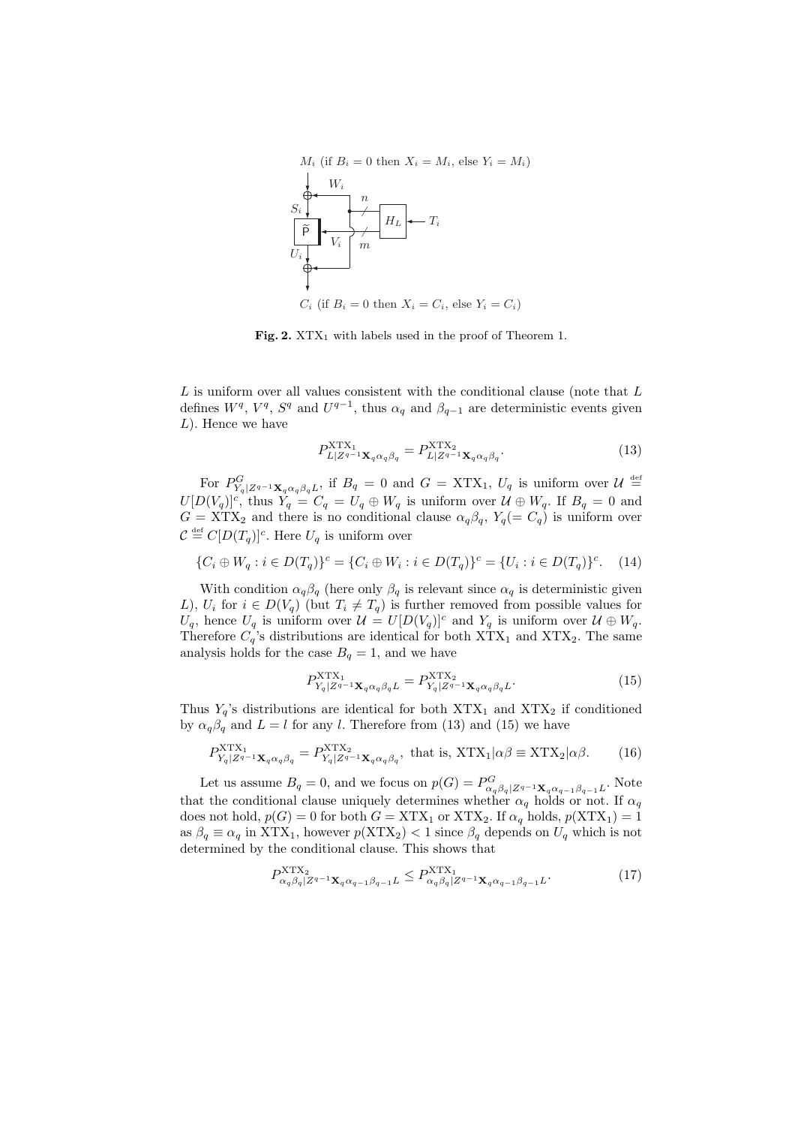

Fig. 2. XTX<sub>1</sub> with labels used in the proof of Theorem 1.

*L* is uniform over all values consistent with the conditional clause (note that *L* defines  $W^q$ ,  $V^q$ ,  $S^q$  and  $U^{q-1}$ , thus  $\alpha_q$  and  $\beta_{q-1}$  are deterministic events given *L*). Hence we have

$$
P_{L|Z^{q-1}\mathbf{X}_q\alpha_q\beta_q}^{\text{XTX}_1} = P_{L|Z^{q-1}\mathbf{X}_q\alpha_q\beta_q}^{\text{NTX}_2}.
$$
\n(13)

For  $P^G_{Y_q|Z^{q-1}\mathbf{X}_q\alpha_q\beta_qL}$ , if  $B_q = 0$  and  $G = \text{XTX}_1$ ,  $U_q$  is uniform over  $\mathcal{U} \stackrel{\text{def}}{=}$  $U[D(V_q)]^c$ , thus  $\hat{Y}_q = C_q = U_q \oplus W_q$  is uniform over  $\mathcal{U} \oplus W_q$ . If  $B_q = 0$  and  $G = \text{XTX}_2$  and there is no conditional clause  $\alpha_q \beta_q$ ,  $Y_q (= C_q)$  is uniform over  $\mathcal{C} \stackrel{\text{def}}{=} C[D(T_q)]^c$ . Here  $U_q$  is uniform over

$$
\{C_i \oplus W_q : i \in D(T_q)\}^c = \{C_i \oplus W_i : i \in D(T_q)\}^c = \{U_i : i \in D(T_q)\}^c. \tag{14}
$$

With condition  $\alpha_q \beta_q$  (here only  $\beta_q$  is relevant since  $\alpha_q$  is deterministic given *L*),  $U_i$  for  $i \in D(V_q)$  (but  $T_i \neq T_q$ ) is further removed from possible values for  $U_q$ , hence  $U_q$  is uniform over  $\mathcal{U} = U[D(V_q)]^c$  and  $Y_q$  is uniform over  $\mathcal{U} \oplus W_q$ . Therefore  $C_q$ 's distributions are identical for both  $\text{XTX}_1$  and  $\text{XTX}_2$ . The same analysis holds for the case  $B_q = 1$ , and we have

$$
P_{Y_q|Z^{q-1}\mathbf{X}_q\alpha_q\beta_qL}^{\text{NTX}_1} = P_{Y_q|Z^{q-1}\mathbf{X}_q\alpha_q\beta_qL}^{\text{NTX}_2}.
$$
\n(15)

Thus  $Y_q$ 's distributions are identical for both  $XTX_1$  and  $XTX_2$  if conditioned by  $\alpha_q \beta_q$  and  $L = l$  for any *l*. Therefore from (13) and (15) we have

$$
P_{Y_q|Z^{q-1}\mathbf{X}_q\alpha_q\beta_q}^{\text{XTX}} = P_{Y_q|Z^{q-1}\mathbf{X}_q\alpha_q\beta_q}^{\text{XTX}_2}, \text{ that is, } \text{XTX}_1|\alpha\beta \equiv \text{XTX}_2|\alpha\beta. \tag{16}
$$

Let us assume  $B_q = 0$ , and we focus on  $p(G) = P^G_{\alpha_q \beta_q | Z^{q-1} \mathbf{X}_q \alpha_{q-1} \beta_{q-1} L}$ . Note that the conditional clause uniquely determines whether  $\alpha_q$  holds or not. If  $\alpha_q$ does not hold,  $p(G) = 0$  for both  $G = \text{XTX}_1$  or  $\text{XTX}_2$ . If  $\alpha_q$  holds,  $p(\text{XTX}_1) = 1$ as  $\beta_q \equiv \alpha_q$  in XTX<sub>1</sub>, however  $p(XTX_2) < 1$  since  $\beta_q$  depends on  $U_q$  which is not determined by the conditional clause. This shows that

$$
P_{\alpha_q \beta_q | Z^{q-1} \mathbf{X}_q \alpha_{q-1} \beta_{q-1} L}^{\text{NTX}_1} \le P_{\alpha_q \beta_q | Z^{q-1} \mathbf{X}_q \alpha_{q-1} \beta_{q-1} L}^{\text{NTX}_1}.
$$
\n
$$
(17)
$$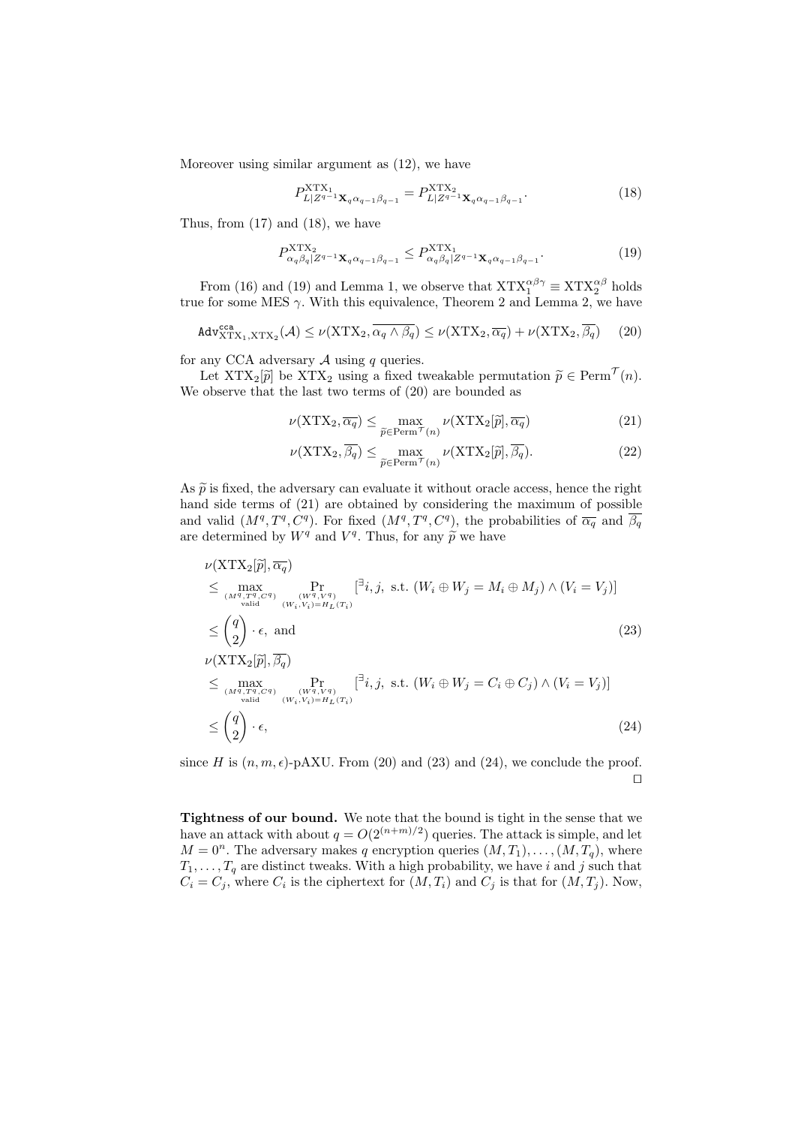Moreover using similar argument as (12), we have

$$
P_{L|Z^{q-1}\mathbf{X}_q \alpha_{q-1} \beta_{q-1}}^{\text{XTX}_1} = P_{L|Z^{q-1}\mathbf{X}_q \alpha_{q-1} \beta_{q-1}}^{\text{XTX}_2}.
$$
\n(18)

Thus, from (17) and (18), we have

$$
P_{\alpha_q \beta_q | Z^{q-1} \mathbf{X}_q \alpha_{q-1} \beta_{q-1}}^{\text{XTX}_1} \le P_{\alpha_q \beta_q | Z^{q-1} \mathbf{X}_q \alpha_{q-1} \beta_{q-1}}^{\text{XTX}_1}.
$$
\n
$$
(19)
$$

From (16) and (19) and Lemma 1, we observe that  $XTX_1^{\alpha\beta\gamma} \equiv XTX_2^{\alpha\beta}$  holds true for some MES  $\gamma$ . With this equivalence, Theorem 2 and Lemma 2, we have

$$
\mathtt{Adv}_{\mathtt{XTX}_1,\mathtt{XTX}_2}^{\mathtt{cca}}(\mathcal{A}) \le \nu(\mathtt{XTX}_2, \overline{\alpha_q \wedge \beta_q}) \le \nu(\mathtt{XTX}_2, \overline{\alpha_q}) + \nu(\mathtt{XTX}_2, \overline{\beta_q}) \tag{20}
$$

for any CCA adversary  $A$  using  $q$  queries.

Let  $\text{XTX}_2[\tilde{p}]$  be  $\text{XTX}_2$  using a fixed tweakable permutation  $\tilde{p} \in \text{Perm}^{\mathcal{T}}(n)$ . We observe that the last two terms of (20) are bounded as

$$
\nu(\text{XTX}_2, \overline{\alpha_q}) \le \max_{\widetilde{p} \in \text{Perm}^{\mathcal{T}}(n)} \nu(\text{XTX}_2[\widetilde{p}], \overline{\alpha_q})
$$
\n(21)

$$
\nu(\text{XTX}_2, \overline{\beta_q}) \le \max_{\widetilde{p} \in \text{Perm}^{\mathcal{T}}(n)} \nu(\text{XTX}_2[\widetilde{p}], \overline{\beta_q}).\tag{22}
$$

As  $\tilde{p}$  is fixed, the adversary can evaluate it without oracle access, hence the right hand side terms of (21) are obtained by considering the maximum of possible and valid  $(M^q, T^q, C^q)$ . For fixed  $(M^q, T^q, C^q)$ , the probabilities of  $\overline{\alpha_q}$  and  $\overline{\beta_q}$ are determined by  $W^q$  and  $V^q$ . Thus, for any  $\widetilde{p}$  we have

$$
\nu(\text{XTX}_2[\tilde{p}], \overline{\alpha_q})
$$
\n
$$
\leq \max_{\substack{(M^q, T^q, C^q) \\ \text{valid} \\ \text{valid}}} \Pr_{\substack{(W^q, V^q) \\ (W_i, V_i) = H_L(T_i) \\ \text{valid}}} [\overline{a}_i, j, \text{ s.t. } (W_i \oplus W_j = M_i \oplus M_j) \wedge (V_i = V_j)]
$$
\n
$$
\leq {q \choose 2} \cdot \epsilon, \text{ and}
$$
\n
$$
\nu(\text{XTX}_2[\tilde{p}], \overline{\beta_q})
$$
\n
$$
\leq \max_{\substack{(M^q, T^q, C^q) \\ \text{valid}}} \Pr_{\substack{(W^q, V^q) \\ (W_i, V_i) = H_L(T_i) \\ \text{valid}}} [\overline{a}_i, j, \text{ s.t. } (W_i \oplus W_j = C_i \oplus C_j) \wedge (V_i = V_j)]
$$
\n
$$
\leq {q \choose 2} \cdot \epsilon,
$$
\n(24)

since *H* is  $(n, m, \epsilon)$ -pAXU. From (20) and (23) and (24), we conclude the proof. *⊓⊔*

**Tightness of our bound.** We note that the bound is tight in the sense that we have an attack with about  $q = O(2^{(n+m)/2})$  queries. The attack is simple, and let  $M = 0^n$ . The adversary makes *q* encryption queries  $(M, T_1), \ldots, (M, T_q)$ , where  $T_1, \ldots, T_q$  are distinct tweaks. With a high probability, we have *i* and *j* such that  $C_i = C_j$ , where  $C_i$  is the ciphertext for  $(M, T_i)$  and  $C_j$  is that for  $(M, T_j)$ . Now,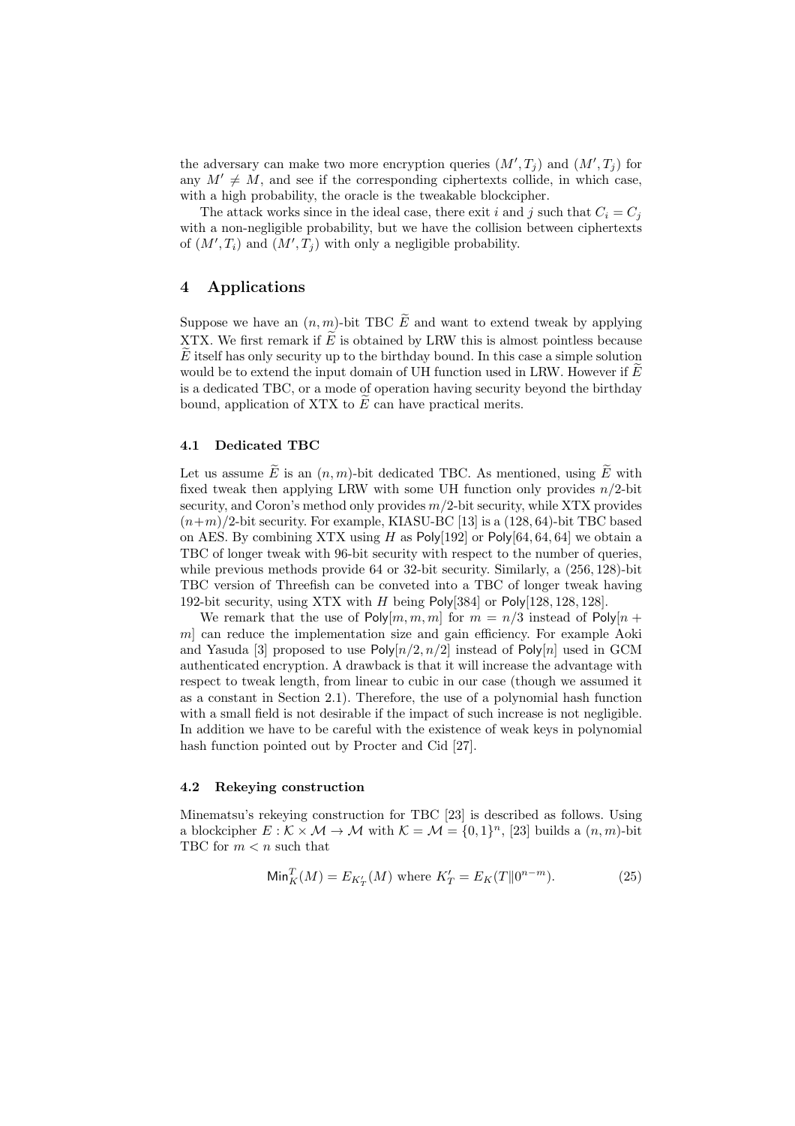the adversary can make two more encryption queries  $(M', T_j)$  and  $(M', T_j)$  for any  $M' \neq M$ , and see if the corresponding ciphertexts collide, in which case, with a high probability, the oracle is the tweakable blockcipher.

The attack works since in the ideal case, there exit *i* and *j* such that  $C_i = C_j$ with a non-negligible probability, but we have the collision between ciphertexts of  $(M', T_i)$  and  $(M', T_j)$  with only a negligible probability.

# **4 Applications**

Suppose we have an  $(n, m)$ -bit TBC  $\widetilde{E}$  and want to extend tweak by applying XTX. We first remark if  $\tilde{E}$  is obtained by LRW this is almost pointless because *E* itself has only security up to the birthday bound. In this case a simple solution would be to extend the input domain of UH function used in LRW. However if  $\widetilde{E}$ is a dedicated TBC, or a mode of operation having security beyond the birthday bound, application of XTX to *E* can have practical merits.

## **4.1 Dedicated TBC**

Let us assume  $\widetilde{E}$  is an  $(n, m)$ -bit dedicated TBC. As mentioned, using  $\widetilde{E}$  with fixed tweak then applying LRW with some UH function only provides *n/*2-bit security, and Coron's method only provides *m/*2-bit security, while XTX provides  $(n+m)/2$ -bit security. For example, KIASU-BC [13] is a  $(128, 64)$ -bit TBC based on AES. By combining XTX using *H* as Poly[192] or Poly[64*,* 64*,* 64] we obtain a TBC of longer tweak with 96-bit security with respect to the number of queries, while previous methods provide 64 or 32-bit security. Similarly, a (256*,* 128)-bit TBC version of Threefish can be conveted into a TBC of longer tweak having 192-bit security, using XTX with *H* being Poly[384] or Poly[128*,* 128*,* 128].

We remark that the use of  $Poly[m, m, m]$  for  $m = n/3$  instead of  $Poly[n +]$ *m*] can reduce the implementation size and gain efficiency. For example Aoki and Yasuda [3] proposed to use  $\text{Poly}[n/2, n/2]$  instead of  $\text{Poly}[n]$  used in GCM authenticated encryption. A drawback is that it will increase the advantage with respect to tweak length, from linear to cubic in our case (though we assumed it as a constant in Section 2.1). Therefore, the use of a polynomial hash function with a small field is not desirable if the impact of such increase is not negligible. In addition we have to be careful with the existence of weak keys in polynomial hash function pointed out by Procter and Cid [27].

#### **4.2 Rekeying construction**

Minematsu's rekeying construction for TBC [23] is described as follows. Using a blockcipher  $E : \mathcal{K} \times \mathcal{M} \to \mathcal{M}$  with  $\mathcal{K} = \mathcal{M} = \{0, 1\}^n$ , [23] builds a  $(n, m)$ -bit TBC for *m < n* such that

$$
\text{Min}_{K}^{T}(M) = E_{K'_{T}}(M) \text{ where } K'_{T} = E_{K}(T||0^{n-m}).
$$
\n(25)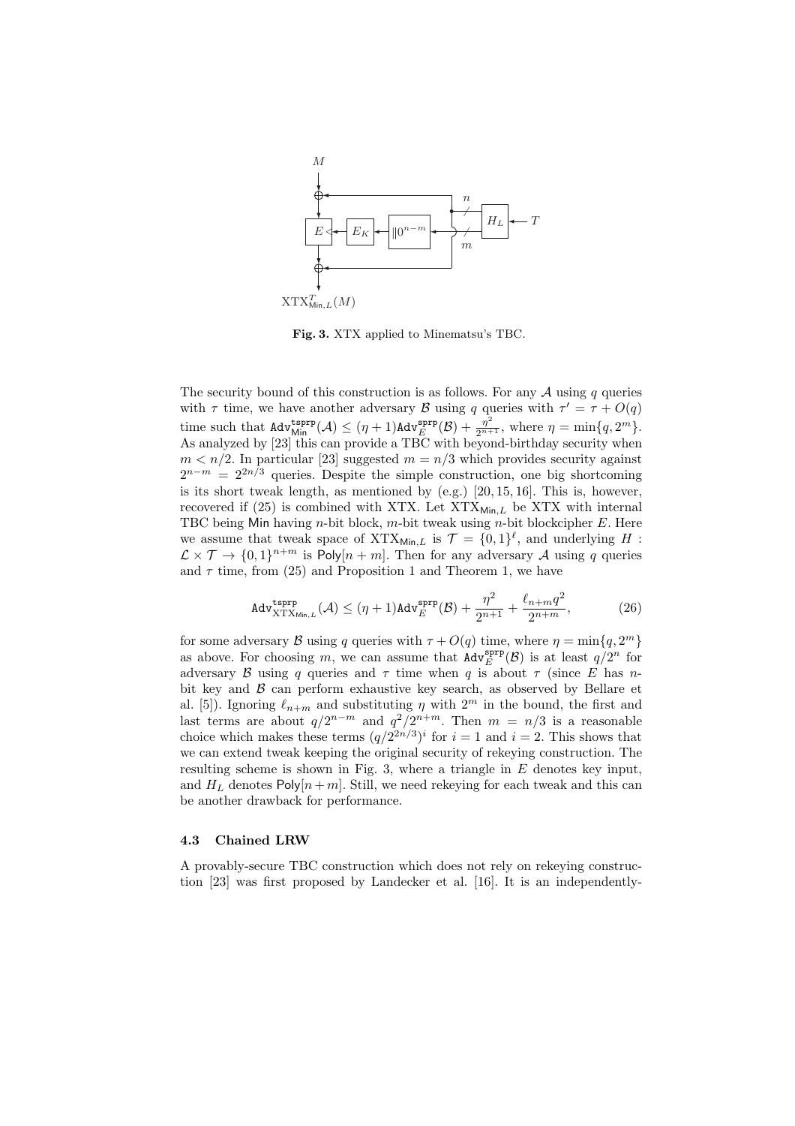

**Fig. 3.** XTX applied to Minematsu's TBC.

The security bound of this construction is as follows. For any *A* using *q* queries with  $\tau$  time, we have another adversary *B* using *q* queries with  $\tau' = \tau + O(q)$ time such that  $\text{Adv}_{\text{Min}}^{\text{tsprp}}(\mathcal{A}) \leq (\eta + 1)\text{Adv}_{E}^{\text{sprp}}(\mathcal{B}) + \frac{\eta^{2}}{2^{n+1}}, \text{ where } \eta = \min\{q, 2^{m}\}.$ As analyzed by [23] this can provide a TBC with beyond-birthday security when  $m < n/2$ . In particular [23] suggested  $m = n/3$  which provides security against 2<sup>*n−m* = 2<sup>2*n*</sup>/<sup>3</sup> queries. Despite the simple construction, one big shortcoming</sup> is its short tweak length, as mentioned by  $(e.g.)$  [20, 15, 16]. This is, however, recovered if  $(25)$  is combined with XTX. Let  $XTX_{Min,L}$  be XTX with internal TBC being Min having *n*-bit block, *m*-bit tweak using *n*-bit blockcipher *E*. Here we assume that tweak space of  $XTX_{\text{Min},L}$  is  $\mathcal{T} = \{0,1\}^{\ell}$ , and underlying *H* :  $\mathcal{L} \times \mathcal{T} \to \{0,1\}^{n+m}$  is Poly $[n+m]$ . Then for any adversary *A* using *q* queries and  $\tau$  time, from (25) and Proposition 1 and Theorem 1, we have

$$
\text{Adv}_{\text{XTX}_{\text{Min},L}}^{\text{tsprp}}(\mathcal{A}) \le (\eta + 1) \text{Adv}_{E}^{\text{sprp}}(\mathcal{B}) + \frac{\eta^2}{2^{n+1}} + \frac{\ell_{n+m}q^2}{2^{n+m}},\tag{26}
$$

for some adversary *B* using *q* queries with  $\tau + O(q)$  time, where  $\eta = \min\{q, 2^m\}$ as above. For choosing *m*, we can assume that  $\text{Adv}_{E}^{\text{sprp}}(\mathcal{B})$  is at least  $q/2^{n}$  for adversary *B* using *q* queries and  $\tau$  time when *q* is about  $\tau$  (since *E* has *n*bit key and *B* can perform exhaustive key search, as observed by Bellare et al. [5]). Ignoring  $\ell_{n+m}$  and substituting  $\eta$  with  $2^m$  in the bound, the first and last terms are about  $q/2^{n-m}$  and  $q^2/2^{n+m}$ . Then  $m = n/3$  is a reasonable choice which makes these terms  $(q/2^{2n/3})^i$  for  $i = 1$  and  $i = 2$ . This shows that we can extend tweak keeping the original security of rekeying construction. The resulting scheme is shown in Fig. 3, where a triangle in *E* denotes key input, and  $H_L$  denotes  $Poly[n+m]$ . Still, we need rekeying for each tweak and this can be another drawback for performance.

#### **4.3 Chained LRW**

A provably-secure TBC construction which does not rely on rekeying construction [23] was first proposed by Landecker et al. [16]. It is an independently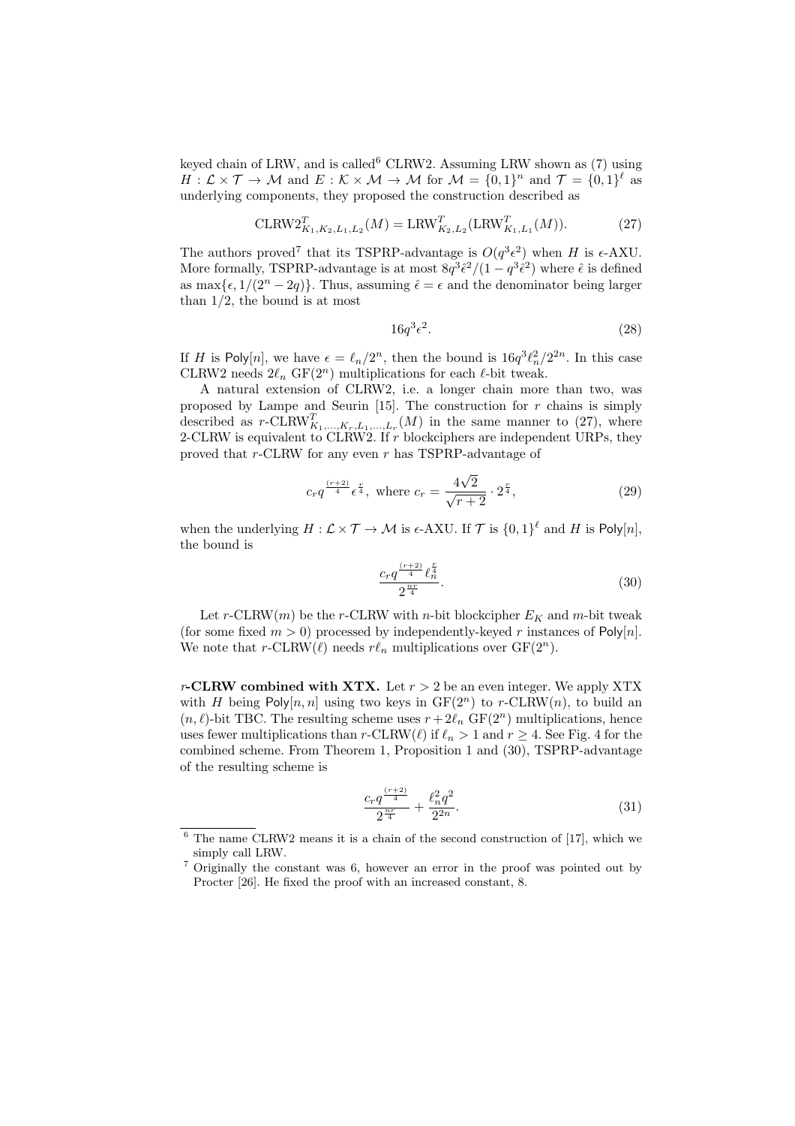keyed chain of LRW, and is called  ${}^{6}$  CLRW2. Assuming LRW shown as (7) using  $H: \mathcal{L} \times \mathcal{T} \to \mathcal{M}$  and  $E: \mathcal{K} \times \mathcal{M} \to \mathcal{M}$  for  $\mathcal{M} = \{0,1\}^n$  and  $\mathcal{T} = \{0,1\}^{\ell}$  as underlying components, they proposed the construction described as

$$
\mathrm{CLRW2}_{K_1, K_2, L_1, L_2}^T(M) = \mathrm{LRW}_{K_2, L_2}^T(\mathrm{LRW}_{K_1, L_1}^T(M)).
$$
 (27)

The authors proved<sup>7</sup> that its TSPRP-advantage is  $O(q^3 \epsilon^2)$  when *H* is  $\epsilon$ -AXU. More formally, TSPRP-advantage is at most  $8q^3\hat{\epsilon}^2/(1-q^3\hat{\epsilon}^2)$  where  $\hat{\epsilon}$  is defined as max $\{\epsilon, 1/(2^n - 2q)\}\$ . Thus, assuming  $\hat{\epsilon} = \epsilon$  and the denominator being larger than 1*/*2, the bound is at most

$$
16q^3\epsilon^2.\tag{28}
$$

If *H* is Poly[*n*], we have  $\epsilon = \ell_n/2^n$ , then the bound is  $16q^3\ell_n^2/2^{2n}$ . In this case CLRW2 needs  $2\ell_n$  GF( $2^n$ ) multiplications for each  $\ell$ -bit tweak.

A natural extension of CLRW2, i.e. a longer chain more than two, was proposed by Lampe and Seurin  $[15]$ . The construction for  $r$  chains is simply described as  $r$ -CLRW<sup>T</sup><sub>K<sub>1</sub>,...,K<sub>r</sub>,L<sub>1</sub>,...,L<sub>r</sub></sub>(M) in the same manner to (27), where 2-CLRW is equivalent to CLRW2. If *r* blockciphers are independent URPs, they proved that *r*-CLRW for any even *r* has TSPRP-advantage of

$$
c_r q^{\frac{(r+2)}{4}} \epsilon^{\frac{r}{4}}, \text{ where } c_r = \frac{4\sqrt{2}}{\sqrt{r+2}} \cdot 2^{\frac{r}{4}}, \tag{29}
$$

when the underlying  $H: \mathcal{L} \times \mathcal{T} \to \mathcal{M}$  is  $\epsilon$ -AXU. If  $\mathcal{T}$  is  $\{0,1\}^{\ell}$  and  $H$  is  $\mathsf{Poly}[n],$ the bound is

$$
\frac{c_r q^{\frac{(r+2)}{4}} \ell_n^{\frac{r}{4}}}{2^{\frac{nr}{4}}}.
$$
\n(30)

Let  $r$ -CLRW $(m)$  be the  $r$ -CLRW with  $n$ -bit blockcipher  $E_K$  and  $m$ -bit tweak (for some fixed  $m > 0$ ) processed by independently-keyed r instances of Poly[n]. We note that *r*-CLRW( $\ell$ ) needs  $r\ell_n$  multiplications over GF( $2^n$ ).

*r***-CLRW combined with XTX.** Let  $r > 2$  be an even integer. We apply XTX with *H* being Poly $[n, n]$  using two keys in  $GF(2^n)$  to *r*-CLRW $(n)$ , to build an  $(n, \ell)$ -bit TBC. The resulting scheme uses  $r + 2\ell_n$  GF(2<sup>*n*</sup>) multiplications, hence uses fewer multiplications than  $r$ -CLRW $(\ell)$  if  $\ell_n > 1$  and  $r \geq 4$ . See Fig. 4 for the combined scheme. From Theorem 1, Proposition 1 and (30), TSPRP-advantage of the resulting scheme is

$$
\frac{c_r q^{\frac{(r+2)}{4}}}{2^{\frac{nr}{4}}} + \frac{\ell_n^2 q^2}{2^{2n}}.\tag{31}
$$

 $6$  The name CLRW2 means it is a chain of the second construction of [17], which we simply call LRW.

<sup>7</sup> Originally the constant was 6, however an error in the proof was pointed out by Procter [26]. He fixed the proof with an increased constant, 8.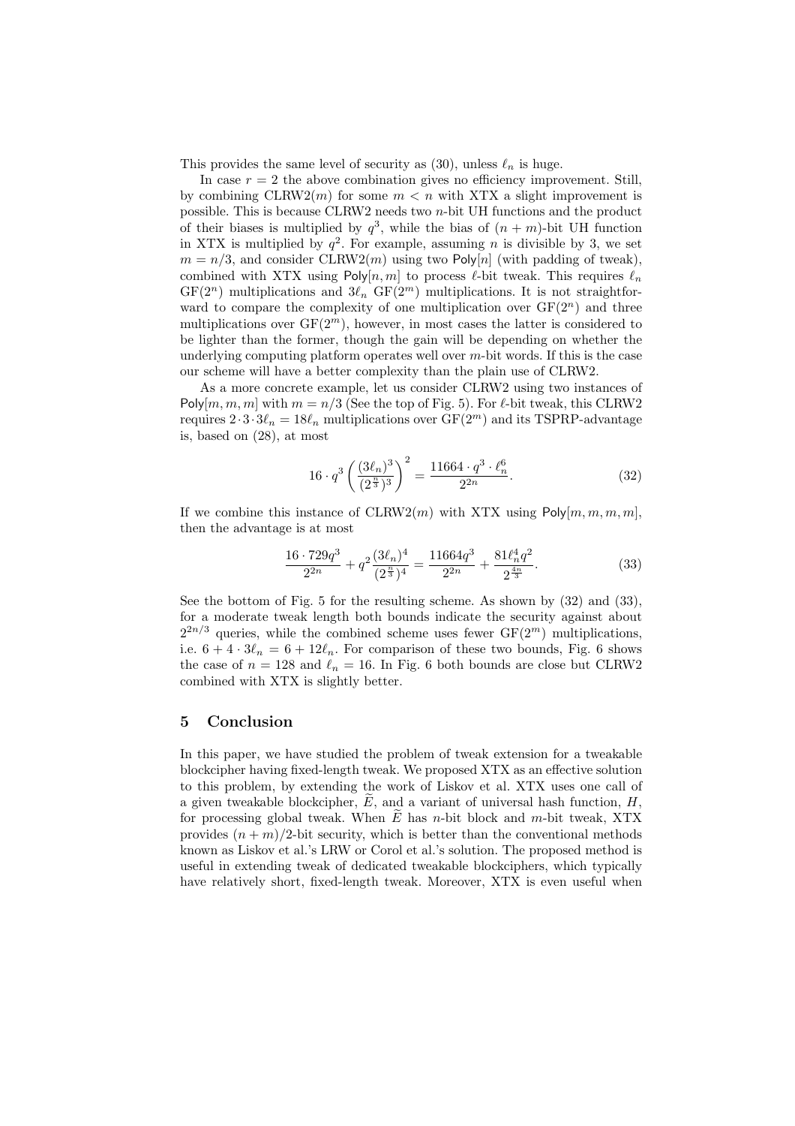This provides the same level of security as  $(30)$ , unless  $\ell_n$  is huge.

In case  $r = 2$  the above combination gives no efficiency improvement. Still, by combining  $CLRW2(m)$  for some  $m < n$  with XTX a slight improvement is possible. This is because CLRW2 needs two *n*-bit UH functions and the product of their biases is multiplied by  $q^3$ , while the bias of  $(n + m)$ -bit UH function in XTX is multiplied by  $q^2$ . For example, assuming *n* is divisible by 3, we set  $m = n/3$ , and consider CLRW2(*m*) using two Poly[*n*] (with padding of tweak), combined with XTX using Poly $[n, m]$  to process  $\ell$ -bit tweak. This requires  $\ell_n$  $GF(2^n)$  multiplications and  $3\ell_n$   $GF(2^m)$  multiplications. It is not straightforward to compare the complexity of one multiplication over  $GF(2<sup>n</sup>)$  and three multiplications over  $GF(2<sup>m</sup>)$ , however, in most cases the latter is considered to be lighter than the former, though the gain will be depending on whether the underlying computing platform operates well over *m*-bit words. If this is the case our scheme will have a better complexity than the plain use of CLRW2.

As a more concrete example, let us consider CLRW2 using two instances of Poly $[m, m, m]$  with  $m = n/3$  (See the top of Fig. 5). For  $\ell$ -bit tweak, this CLRW2 requires  $2 \cdot 3 \cdot 3 \ell_n = 18 \ell_n$  multiplications over  $GF(2^m)$  and its TSPRP-advantage is, based on (28), at most

$$
16 \cdot q^3 \left(\frac{(3\ell_n)^3}{(2^{\frac{n}{3}})^3}\right)^2 = \frac{11664 \cdot q^3 \cdot \ell_n^6}{2^{2n}}.
$$
 (32)

If we combine this instance of  $CLRW2(m)$  with XTX using  $Poly[m, m, m, m]$ , then the advantage is at most

$$
\frac{16 \cdot 729q^3}{2^{2n}} + q^2 \frac{(3\ell_n)^4}{(2^{\frac{n}{3}})^4} = \frac{11664q^3}{2^{2n}} + \frac{81\ell_n^4 q^2}{2^{\frac{4n}{3}}}.
$$
 (33)

See the bottom of Fig. 5 for the resulting scheme. As shown by (32) and (33), for a moderate tweak length both bounds indicate the security against about  $2^{2n/3}$  queries, while the combined scheme uses fewer  $GF(2^m)$  multiplications, i.e.  $6 + 4 \cdot 3\ell_n = 6 + 12\ell_n$ . For comparison of these two bounds, Fig. 6 shows the case of  $n = 128$  and  $\ell_n = 16$ . In Fig. 6 both bounds are close but CLRW2 combined with XTX is slightly better.

# **5 Conclusion**

In this paper, we have studied the problem of tweak extension for a tweakable blockcipher having fixed-length tweak. We proposed XTX as an effective solution to this problem, by extending the work of Liskov et al. XTX uses one call of a given tweakable blockcipher,  $\widetilde{E}$ , and a variant of universal hash function, *H*, for processing global tweak. When *E* has *n*-bit block and *m*-bit tweak, XTX provides  $(n + m)/2$ -bit security, which is better than the conventional methods known as Liskov et al.'s LRW or Corol et al.'s solution. The proposed method is useful in extending tweak of dedicated tweakable blockciphers, which typically have relatively short, fixed-length tweak. Moreover, XTX is even useful when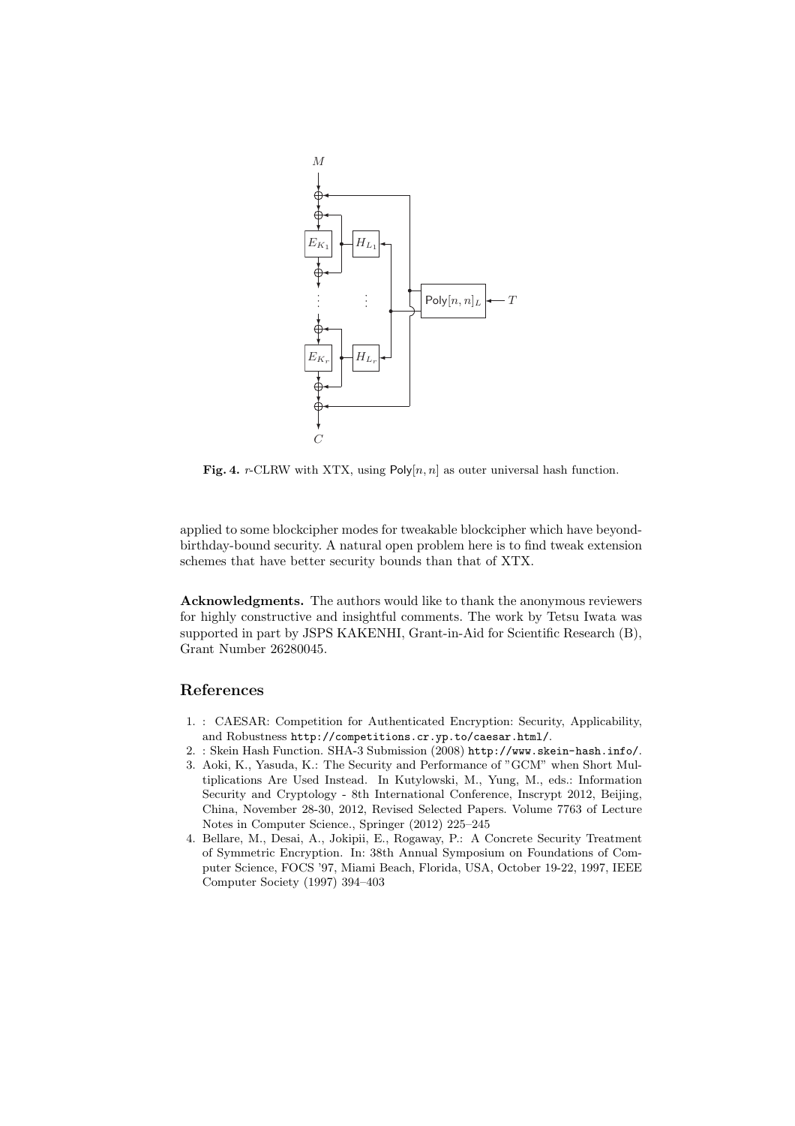

**Fig. 4.** *r*-CLRW with XTX, using  $Poly[n, n]$  as outer universal hash function.

applied to some blockcipher modes for tweakable blockcipher which have beyondbirthday-bound security. A natural open problem here is to find tweak extension schemes that have better security bounds than that of XTX.

**Acknowledgments.** The authors would like to thank the anonymous reviewers for highly constructive and insightful comments. The work by Tetsu Iwata was supported in part by JSPS KAKENHI, Grant-in-Aid for Scientific Research (B), Grant Number 26280045.

# **References**

- 1. : CAESAR: Competition for Authenticated Encryption: Security, Applicability, and Robustness http://competitions.cr.yp.to/caesar.html/.
- 2. : Skein Hash Function. SHA-3 Submission (2008) http://www.skein-hash.info/.
- 3. Aoki, K., Yasuda, K.: The Security and Performance of "GCM" when Short Multiplications Are Used Instead. In Kutylowski, M., Yung, M., eds.: Information Security and Cryptology - 8th International Conference, Inscrypt 2012, Beijing, China, November 28-30, 2012, Revised Selected Papers. Volume 7763 of Lecture Notes in Computer Science., Springer (2012) 225–245
- 4. Bellare, M., Desai, A., Jokipii, E., Rogaway, P.: A Concrete Security Treatment of Symmetric Encryption. In: 38th Annual Symposium on Foundations of Computer Science, FOCS '97, Miami Beach, Florida, USA, October 19-22, 1997, IEEE Computer Society (1997) 394–403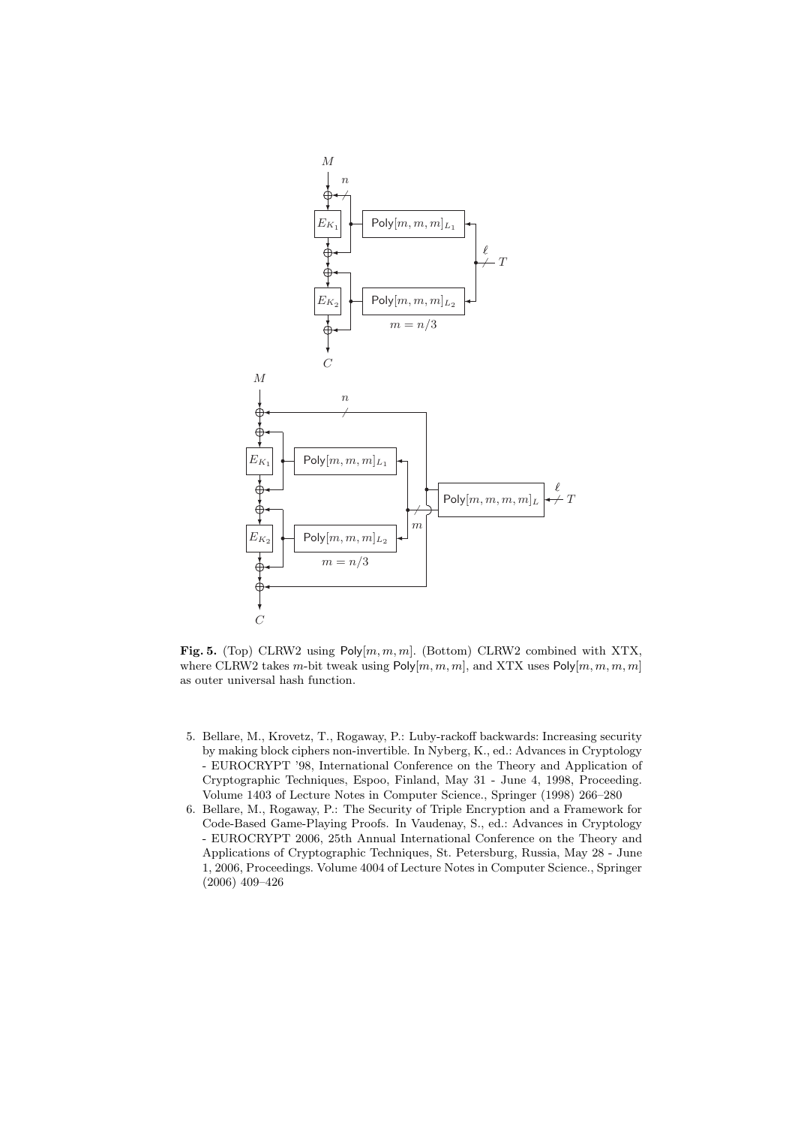

**Fig. 5.** (Top) CLRW2 using Poly[*m, m, m*]. (Bottom) CLRW2 combined with XTX, where CLRW2 takes *m*-bit tweak using Poly[*m, m, m*], and XTX uses Poly[*m, m, m, m*] as outer universal hash function.

- 5. Bellare, M., Krovetz, T., Rogaway, P.: Luby-rackoff backwards: Increasing security by making block ciphers non-invertible. In Nyberg, K., ed.: Advances in Cryptology - EUROCRYPT '98, International Conference on the Theory and Application of Cryptographic Techniques, Espoo, Finland, May 31 - June 4, 1998, Proceeding. Volume 1403 of Lecture Notes in Computer Science., Springer (1998) 266–280
- 6. Bellare, M., Rogaway, P.: The Security of Triple Encryption and a Framework for Code-Based Game-Playing Proofs. In Vaudenay, S., ed.: Advances in Cryptology - EUROCRYPT 2006, 25th Annual International Conference on the Theory and Applications of Cryptographic Techniques, St. Petersburg, Russia, May 28 - June 1, 2006, Proceedings. Volume 4004 of Lecture Notes in Computer Science., Springer (2006) 409–426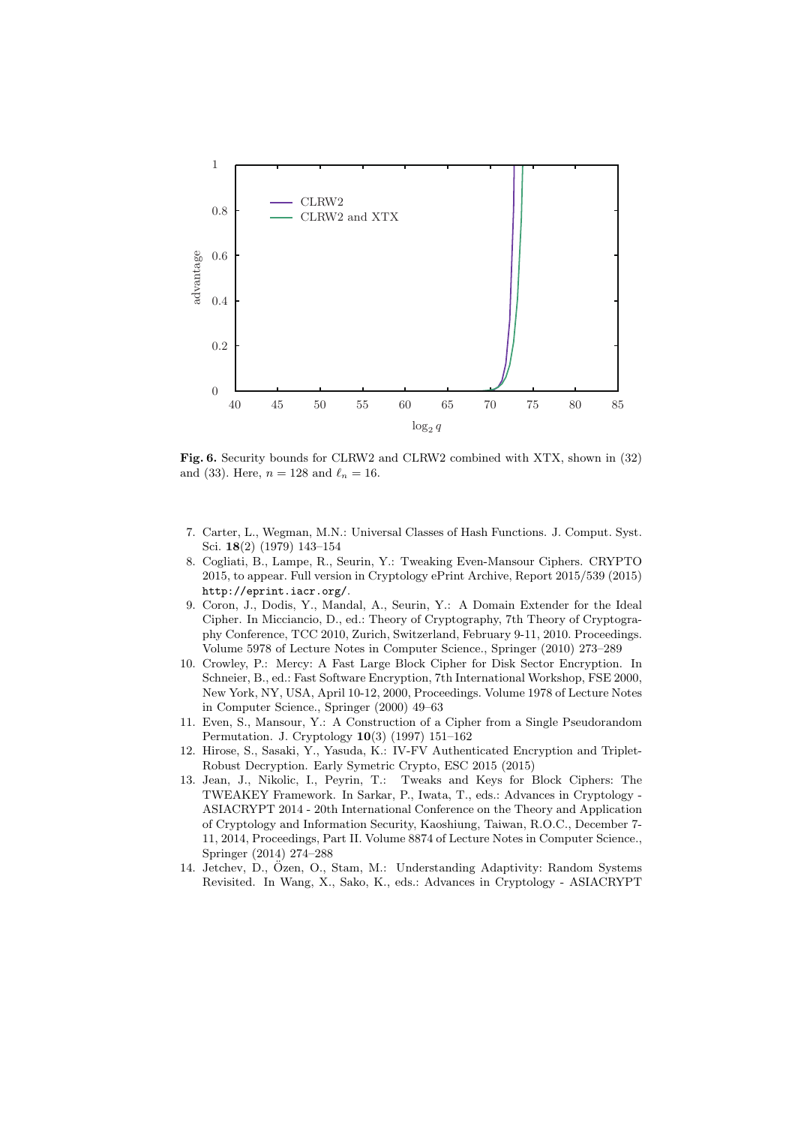

**Fig. 6.** Security bounds for CLRW2 and CLRW2 combined with XTX, shown in (32) and (33). Here,  $n = 128$  and  $\ell_n = 16$ .

- 7. Carter, L., Wegman, M.N.: Universal Classes of Hash Functions. J. Comput. Syst. Sci. **18**(2) (1979) 143–154
- 8. Cogliati, B., Lampe, R., Seurin, Y.: Tweaking Even-Mansour Ciphers. CRYPTO 2015, to appear. Full version in Cryptology ePrint Archive, Report 2015/539 (2015) http://eprint.iacr.org/.
- 9. Coron, J., Dodis, Y., Mandal, A., Seurin, Y.: A Domain Extender for the Ideal Cipher. In Micciancio, D., ed.: Theory of Cryptography, 7th Theory of Cryptography Conference, TCC 2010, Zurich, Switzerland, February 9-11, 2010. Proceedings. Volume 5978 of Lecture Notes in Computer Science., Springer (2010) 273–289
- 10. Crowley, P.: Mercy: A Fast Large Block Cipher for Disk Sector Encryption. In Schneier, B., ed.: Fast Software Encryption, 7th International Workshop, FSE 2000, New York, NY, USA, April 10-12, 2000, Proceedings. Volume 1978 of Lecture Notes in Computer Science., Springer (2000) 49–63
- 11. Even, S., Mansour, Y.: A Construction of a Cipher from a Single Pseudorandom Permutation. J. Cryptology **10**(3) (1997) 151–162
- 12. Hirose, S., Sasaki, Y., Yasuda, K.: IV-FV Authenticated Encryption and Triplet-Robust Decryption. Early Symetric Crypto, ESC 2015 (2015)
- 13. Jean, J., Nikolic, I., Peyrin, T.: Tweaks and Keys for Block Ciphers: The TWEAKEY Framework. In Sarkar, P., Iwata, T., eds.: Advances in Cryptology - ASIACRYPT 2014 - 20th International Conference on the Theory and Application of Cryptology and Information Security, Kaoshiung, Taiwan, R.O.C., December 7- 11, 2014, Proceedings, Part II. Volume 8874 of Lecture Notes in Computer Science., Springer (2014) 274–288
- 14. Jetchev, D., Ozen, O., Stam, M.: Understanding Adaptivity: Random Systems ¨ Revisited. In Wang, X., Sako, K., eds.: Advances in Cryptology - ASIACRYPT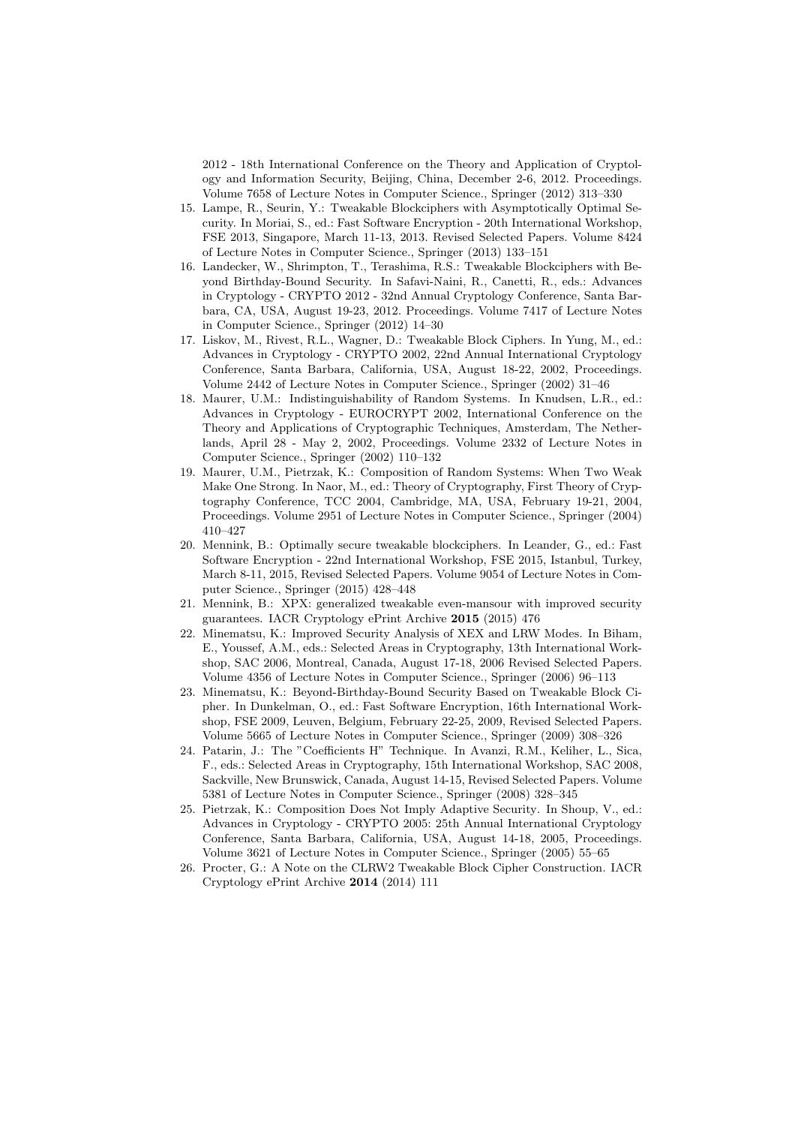2012 - 18th International Conference on the Theory and Application of Cryptology and Information Security, Beijing, China, December 2-6, 2012. Proceedings. Volume 7658 of Lecture Notes in Computer Science., Springer (2012) 313–330

- 15. Lampe, R., Seurin, Y.: Tweakable Blockciphers with Asymptotically Optimal Security. In Moriai, S., ed.: Fast Software Encryption - 20th International Workshop, FSE 2013, Singapore, March 11-13, 2013. Revised Selected Papers. Volume 8424 of Lecture Notes in Computer Science., Springer (2013) 133–151
- 16. Landecker, W., Shrimpton, T., Terashima, R.S.: Tweakable Blockciphers with Beyond Birthday-Bound Security. In Safavi-Naini, R., Canetti, R., eds.: Advances in Cryptology - CRYPTO 2012 - 32nd Annual Cryptology Conference, Santa Barbara, CA, USA, August 19-23, 2012. Proceedings. Volume 7417 of Lecture Notes in Computer Science., Springer (2012) 14–30
- 17. Liskov, M., Rivest, R.L., Wagner, D.: Tweakable Block Ciphers. In Yung, M., ed.: Advances in Cryptology - CRYPTO 2002, 22nd Annual International Cryptology Conference, Santa Barbara, California, USA, August 18-22, 2002, Proceedings. Volume 2442 of Lecture Notes in Computer Science., Springer (2002) 31–46
- 18. Maurer, U.M.: Indistinguishability of Random Systems. In Knudsen, L.R., ed.: Advances in Cryptology - EUROCRYPT 2002, International Conference on the Theory and Applications of Cryptographic Techniques, Amsterdam, The Netherlands, April 28 - May 2, 2002, Proceedings. Volume 2332 of Lecture Notes in Computer Science., Springer (2002) 110–132
- 19. Maurer, U.M., Pietrzak, K.: Composition of Random Systems: When Two Weak Make One Strong. In Naor, M., ed.: Theory of Cryptography, First Theory of Cryptography Conference, TCC 2004, Cambridge, MA, USA, February 19-21, 2004, Proceedings. Volume 2951 of Lecture Notes in Computer Science., Springer (2004) 410–427
- 20. Mennink, B.: Optimally secure tweakable blockciphers. In Leander, G., ed.: Fast Software Encryption - 22nd International Workshop, FSE 2015, Istanbul, Turkey, March 8-11, 2015, Revised Selected Papers. Volume 9054 of Lecture Notes in Computer Science., Springer (2015) 428–448
- 21. Mennink, B.: XPX: generalized tweakable even-mansour with improved security guarantees. IACR Cryptology ePrint Archive **2015** (2015) 476
- 22. Minematsu, K.: Improved Security Analysis of XEX and LRW Modes. In Biham, E., Youssef, A.M., eds.: Selected Areas in Cryptography, 13th International Workshop, SAC 2006, Montreal, Canada, August 17-18, 2006 Revised Selected Papers. Volume 4356 of Lecture Notes in Computer Science., Springer (2006) 96–113
- 23. Minematsu, K.: Beyond-Birthday-Bound Security Based on Tweakable Block Cipher. In Dunkelman, O., ed.: Fast Software Encryption, 16th International Workshop, FSE 2009, Leuven, Belgium, February 22-25, 2009, Revised Selected Papers. Volume 5665 of Lecture Notes in Computer Science., Springer (2009) 308–326
- 24. Patarin, J.: The "Coefficients H" Technique. In Avanzi, R.M., Keliher, L., Sica, F., eds.: Selected Areas in Cryptography, 15th International Workshop, SAC 2008, Sackville, New Brunswick, Canada, August 14-15, Revised Selected Papers. Volume 5381 of Lecture Notes in Computer Science., Springer (2008) 328–345
- 25. Pietrzak, K.: Composition Does Not Imply Adaptive Security. In Shoup, V., ed.: Advances in Cryptology - CRYPTO 2005: 25th Annual International Cryptology Conference, Santa Barbara, California, USA, August 14-18, 2005, Proceedings. Volume 3621 of Lecture Notes in Computer Science., Springer (2005) 55–65
- 26. Procter, G.: A Note on the CLRW2 Tweakable Block Cipher Construction. IACR Cryptology ePrint Archive **2014** (2014) 111